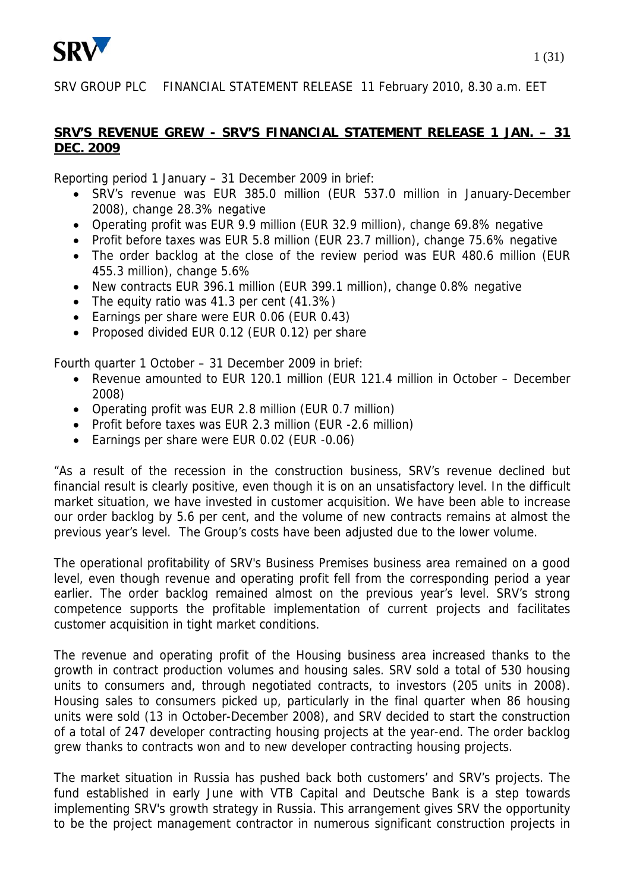

SRV GROUP PLC FINANCIAL STATEMENT RELEASE 11 February 2010, 8.30 a.m. EET

### **SRV'S REVENUE GREW - SRV'S FINANCIAL STATEMENT RELEASE 1 JAN. – 31 DEC. 2009**

Reporting period 1 January – 31 December 2009 in brief:

- SRV's revenue was EUR 385.0 million (EUR 537.0 million in January-December 2008), change 28.3% negative
- Operating profit was EUR 9.9 million (EUR 32.9 million), change 69.8% negative
- Profit before taxes was EUR 5.8 million (EUR 23.7 million), change 75.6% negative
- The order backlog at the close of the review period was EUR 480.6 million (EUR 455.3 million), change 5.6%
- New contracts EUR 396.1 million (EUR 399.1 million), change 0.8% negative
- The equity ratio was 41.3 per cent (41.3%)
- Earnings per share were EUR 0.06 (EUR 0.43)
- Proposed divided EUR 0.12 (EUR 0.12) per share

Fourth quarter 1 October – 31 December 2009 in brief:

- Revenue amounted to EUR 120.1 million (EUR 121.4 million in October December 2008)
- Operating profit was EUR 2.8 million (EUR 0.7 million)
- Profit before taxes was EUR 2.3 million (EUR -2.6 million)
- Earnings per share were EUR 0.02 (EUR -0.06)

"As a result of the recession in the construction business, SRV's revenue declined but financial result is clearly positive, even though it is on an unsatisfactory level. In the difficult market situation, we have invested in customer acquisition. We have been able to increase our order backlog by 5.6 per cent, and the volume of new contracts remains at almost the previous year's level. The Group's costs have been adjusted due to the lower volume.

The operational profitability of SRV's Business Premises business area remained on a good level, even though revenue and operating profit fell from the corresponding period a year earlier. The order backlog remained almost on the previous year's level. SRV's strong competence supports the profitable implementation of current projects and facilitates customer acquisition in tight market conditions.

The revenue and operating profit of the Housing business area increased thanks to the growth in contract production volumes and housing sales. SRV sold a total of 530 housing units to consumers and, through negotiated contracts, to investors (205 units in 2008). Housing sales to consumers picked up, particularly in the final quarter when 86 housing units were sold (13 in October-December 2008), and SRV decided to start the construction of a total of 247 developer contracting housing projects at the year-end. The order backlog grew thanks to contracts won and to new developer contracting housing projects.

The market situation in Russia has pushed back both customers' and SRV's projects. The fund established in early June with VTB Capital and Deutsche Bank is a step towards implementing SRV's growth strategy in Russia. This arrangement gives SRV the opportunity to be the project management contractor in numerous significant construction projects in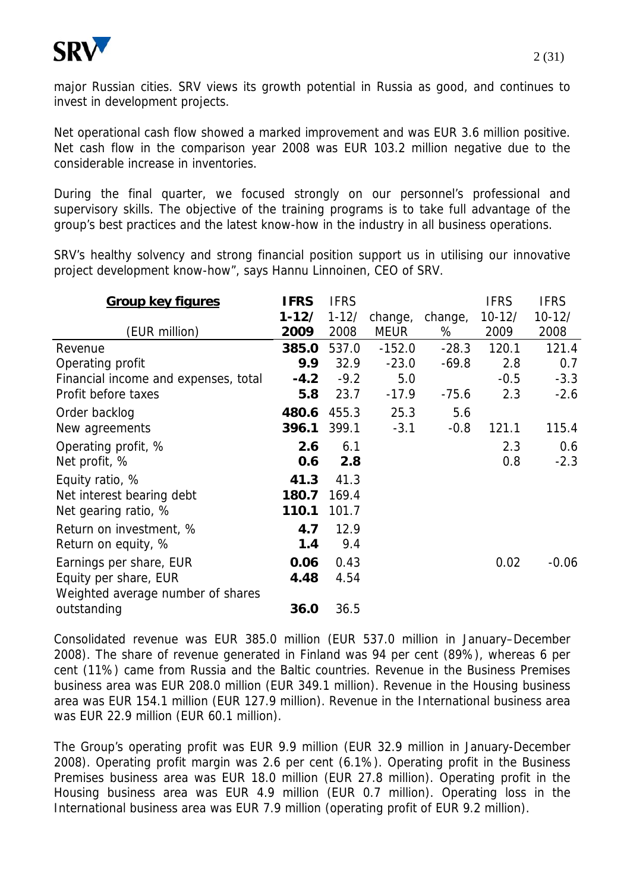

major Russian cities. SRV views its growth potential in Russia as good, and continues to invest in development projects.

Net operational cash flow showed a marked improvement and was EUR 3.6 million positive. Net cash flow in the comparison year 2008 was EUR 103.2 million negative due to the considerable increase in inventories.

During the final quarter, we focused strongly on our personnel's professional and supervisory skills. The objective of the training programs is to take full advantage of the group's best practices and the latest know-how in the industry in all business operations.

SRV's healthy solvency and strong financial position support us in utilising our innovative project development know-how", says Hannu Linnoinen, CEO of SRV.

| <b>Group key figures</b>             | <b>IFRS</b> | <b>IFRS</b> |             |         | <b>IFRS</b> | <b>IFRS</b> |
|--------------------------------------|-------------|-------------|-------------|---------|-------------|-------------|
|                                      | 1-12/       | $1 - 12/$   | change,     | change, | $10 - 12/$  | $10 - 12/$  |
| (EUR million)                        | 2009        | 2008        | <b>MEUR</b> | %       | 2009        | 2008        |
| Revenue                              | 385.0       | 537.0       | $-152.0$    | $-28.3$ | 120.1       | 121.4       |
| Operating profit                     | 9.9         | 32.9        | $-23.0$     | $-69.8$ | 2.8         | 0.7         |
| Financial income and expenses, total | $-4.2$      | $-9.2$      | 5.0         |         | $-0.5$      | $-3.3$      |
| Profit before taxes                  | 5.8         | 23.7        | $-17.9$     | $-75.6$ | 2.3         | $-2.6$      |
| Order backlog                        | 480.6       | 455.3       | 25.3        | 5.6     |             |             |
| New agreements                       | 396.1       | 399.1       | $-3.1$      | $-0.8$  | 121.1       | 115.4       |
| Operating profit, %                  | 2.6         | 6.1         |             |         | 2.3         | 0.6         |
| Net profit, %                        | 0.6         | 2.8         |             |         | 0.8         | $-2.3$      |
| Equity ratio, %                      | 41.3        | 41.3        |             |         |             |             |
| Net interest bearing debt            | 180.7       | 169.4       |             |         |             |             |
| Net gearing ratio, %                 | 110.1       | 101.7       |             |         |             |             |
| Return on investment, %              | 4.7         | 12.9        |             |         |             |             |
| Return on equity, %                  | 1.4         | 9.4         |             |         |             |             |
| Earnings per share, EUR              | 0.06        | 0.43        |             |         | 0.02        | $-0.06$     |
| Equity per share, EUR                | 4.48        | 4.54        |             |         |             |             |
| Weighted average number of shares    |             |             |             |         |             |             |
| outstanding                          | 36.0        | 36.5        |             |         |             |             |

Consolidated revenue was EUR 385.0 million (EUR 537.0 million in January–December 2008). The share of revenue generated in Finland was 94 per cent (89%), whereas 6 per cent (11%) came from Russia and the Baltic countries. Revenue in the Business Premises business area was EUR 208.0 million (EUR 349.1 million). Revenue in the Housing business area was EUR 154.1 million (EUR 127.9 million). Revenue in the International business area was EUR 22.9 million (EUR 60.1 million).

The Group's operating profit was EUR 9.9 million (EUR 32.9 million in January-December 2008). Operating profit margin was 2.6 per cent (6.1%). Operating profit in the Business Premises business area was EUR 18.0 million (EUR 27.8 million). Operating profit in the Housing business area was EUR 4.9 million (EUR 0.7 million). Operating loss in the International business area was EUR 7.9 million (operating profit of EUR 9.2 million).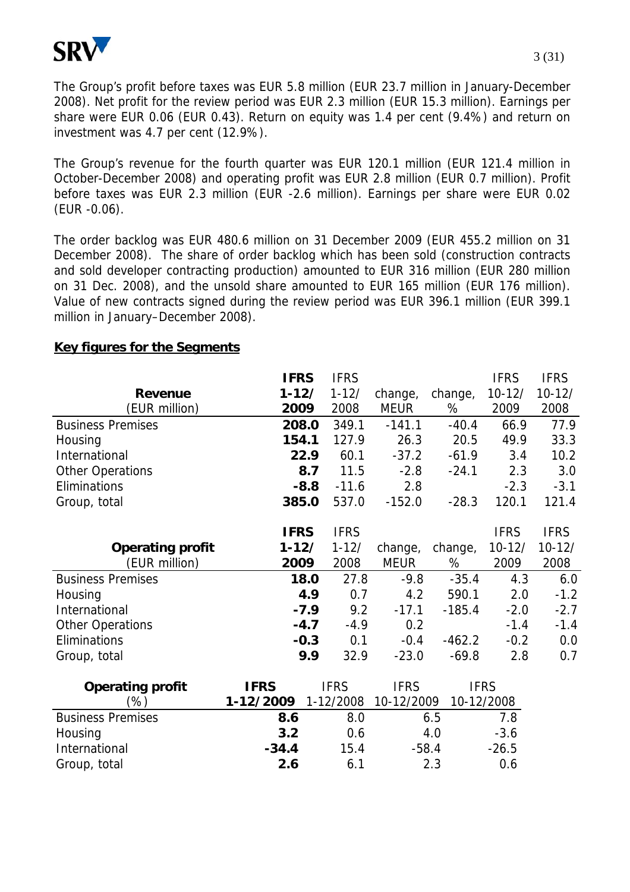

The Group's profit before taxes was EUR 5.8 million (EUR 23.7 million in January-December 2008). Net profit for the review period was EUR 2.3 million (EUR 15.3 million). Earnings per share were EUR 0.06 (EUR 0.43). Return on equity was 1.4 per cent (9.4%) and return on investment was 4.7 per cent (12.9%).

The Group's revenue for the fourth quarter was EUR 120.1 million (EUR 121.4 million in October-December 2008) and operating profit was EUR 2.8 million (EUR 0.7 million). Profit before taxes was EUR 2.3 million (EUR -2.6 million). Earnings per share were EUR 0.02 (EUR -0.06).

The order backlog was EUR 480.6 million on 31 December 2009 (EUR 455.2 million on 31 December 2008). The share of order backlog which has been sold (construction contracts and sold developer contracting production) amounted to EUR 316 million (EUR 280 million on 31 Dec. 2008), and the unsold share amounted to EUR 165 million (EUR 176 million). Value of new contracts signed during the review period was EUR 396.1 million (EUR 399.1 million in January–December 2008).

|                          | <b>IFRS</b> |        | <b>IFRS</b> |             |          | <b>IFRS</b> | <b>IFRS</b> |
|--------------------------|-------------|--------|-------------|-------------|----------|-------------|-------------|
| <b>Revenue</b>           | $1 - 12/$   |        | $1 - 12/$   | change,     | change,  | $10 - 12/$  | $10 - 12/$  |
| (EUR million)            | 2009        |        | 2008        | <b>MEUR</b> | %        | 2009        | 2008        |
| <b>Business Premises</b> | 208.0       |        | 349.1       | $-141.1$    | $-40.4$  | 66.9        | 77.9        |
| Housing                  | 154.1       |        | 127.9       | 26.3        | 20.5     | 49.9        | 33.3        |
| International            |             | 22.9   | 60.1        | $-37.2$     | $-61.9$  | 3.4         | 10.2        |
| <b>Other Operations</b>  |             | 8.7    | 11.5        | $-2.8$      | $-24.1$  | 2.3         | 3.0         |
| Eliminations             |             | $-8.8$ | $-11.6$     | 2.8         |          | $-2.3$      | $-3.1$      |
| Group, total             | 385.0       |        | 537.0       | $-152.0$    | $-28.3$  | 120.1       | 121.4       |
|                          |             |        |             |             |          |             |             |
|                          | <b>IFRS</b> |        | <b>IFRS</b> |             |          | <b>IFRS</b> | <b>IFRS</b> |
| <b>Operating profit</b>  | $1 - 12/$   |        | $1 - 12/$   | change,     | change,  | $10 - 12/$  | $10 - 12/$  |
| (EUR million)            | 2009        |        | 2008        | <b>MEUR</b> | %        | 2009        | 2008        |
| <b>Business Premises</b> |             | 18.0   | 27.8        | $-9.8$      | $-35.4$  | 4.3         | 6.0         |
| Housing                  |             | 4.9    | 0.7         | 4.2         | 590.1    | 2.0         | $-1.2$      |
| International            |             | $-7.9$ | 9.2         | $-17.1$     | $-185.4$ | $-2.0$      | $-2.7$      |
| <b>Other Operations</b>  |             | $-4.7$ | $-4.9$      | 0.2         |          | $-1.4$      | $-1.4$      |
| Eliminations             |             | $-0.3$ | 0.1         | $-0.4$      | $-462.2$ | $-0.2$      | 0.0         |
| Group, total             |             | 9.9    | 32.9        | $-23.0$     | $-69.8$  | 2.8         | 0.7         |
|                          |             |        |             |             |          |             |             |
| <b>Operating profit</b>  | <b>IFRS</b> |        | <b>IFRS</b> | <b>IFRS</b> |          | <b>IFRS</b> |             |
| (%)                      | 1-12/2009   |        | 1-12/2008   | 10-12/2009  |          | 10-12/2008  |             |
| <b>Business Premises</b> | 8.6         |        | 8.0         |             | 6.5      | 7.8         |             |
| Housing                  | 3.2         |        | 0.6         |             | 4.0      | $-3.6$      |             |
| International            | $-34.4$     |        | 15.4        | $-58.4$     |          | $-26.5$     |             |

Group, total **2.6** 6.1 2.3 0.6

#### **Key figures for the Segments**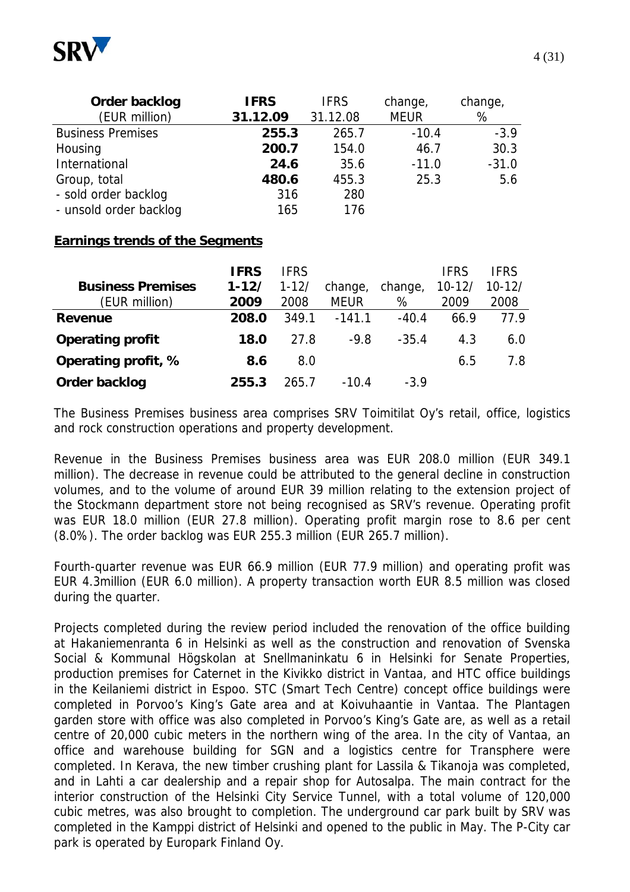

| Order backlog            | <b>IFRS</b> | <b>IFRS</b> | change,     | change, |
|--------------------------|-------------|-------------|-------------|---------|
| (EUR million)            | 31.12.09    | 31.12.08    | <b>MEUR</b> | %       |
| <b>Business Premises</b> | 255.3       | 265.7       | $-10.4$     | $-3.9$  |
| Housing                  | 200.7       | 154.0       | 46.7        | 30.3    |
| International            | 24.6        | 35.6        | $-11.0$     | $-31.0$ |
| Group, total             | 480.6       | 455.3       | 25.3        | 5.6     |
| - sold order backlog     | 316         | 280         |             |         |
| - unsold order backlog   | 165         | 176         |             |         |

#### **Earnings trends of the Segments**

|                          | <b>IFRS</b> | <b>IFRS</b> |             |         | <b>IFRS</b> | <b>IFRS</b> |
|--------------------------|-------------|-------------|-------------|---------|-------------|-------------|
| <b>Business Premises</b> | $1 - 12/$   | $1 - 12/$   | change,     | change, | $10 - 12/$  | $10 - 12/$  |
| (EUR million)            | 2009        | 2008        | <b>MEUR</b> | %       | 2009        | 2008        |
| Revenue                  | 208.0       | 349.1       | $-141.1$    | $-40.4$ | 66.9        | 77.9        |
| <b>Operating profit</b>  | 18.0        | 27.8        | $-9.8$      | $-35.4$ | 4.3         | 6.0         |
| Operating profit, %      | 8.6         | 8.0         |             |         | 6.5         | 7.8         |
| Order backlog            | 255.3       | 265 7       | $-10.4$     | $-3.9$  |             |             |

The Business Premises business area comprises SRV Toimitilat Oy's retail, office, logistics and rock construction operations and property development.

Revenue in the Business Premises business area was EUR 208.0 million (EUR 349.1 million). The decrease in revenue could be attributed to the general decline in construction volumes, and to the volume of around EUR 39 million relating to the extension project of the Stockmann department store not being recognised as SRV's revenue. Operating profit was EUR 18.0 million (EUR 27.8 million). Operating profit margin rose to 8.6 per cent (8.0%). The order backlog was EUR 255.3 million (EUR 265.7 million).

Fourth-quarter revenue was EUR 66.9 million (EUR 77.9 million) and operating profit was EUR 4.3million (EUR 6.0 million). A property transaction worth EUR 8.5 million was closed during the quarter.

Projects completed during the review period included the renovation of the office building at Hakaniemenranta 6 in Helsinki as well as the construction and renovation of Svenska Social & Kommunal Högskolan at Snellmaninkatu 6 in Helsinki for Senate Properties, production premises for Caternet in the Kivikko district in Vantaa, and HTC office buildings in the Keilaniemi district in Espoo. STC (Smart Tech Centre) concept office buildings were completed in Porvoo's King's Gate area and at Koivuhaantie in Vantaa. The Plantagen garden store with office was also completed in Porvoo's King's Gate are, as well as a retail centre of 20,000 cubic meters in the northern wing of the area. In the city of Vantaa, an office and warehouse building for SGN and a logistics centre for Transphere were completed. In Kerava, the new timber crushing plant for Lassila & Tikanoja was completed, and in Lahti a car dealership and a repair shop for Autosalpa. The main contract for the interior construction of the Helsinki City Service Tunnel, with a total volume of 120,000 cubic metres, was also brought to completion. The underground car park built by SRV was completed in the Kamppi district of Helsinki and opened to the public in May. The P-City car park is operated by Europark Finland Oy.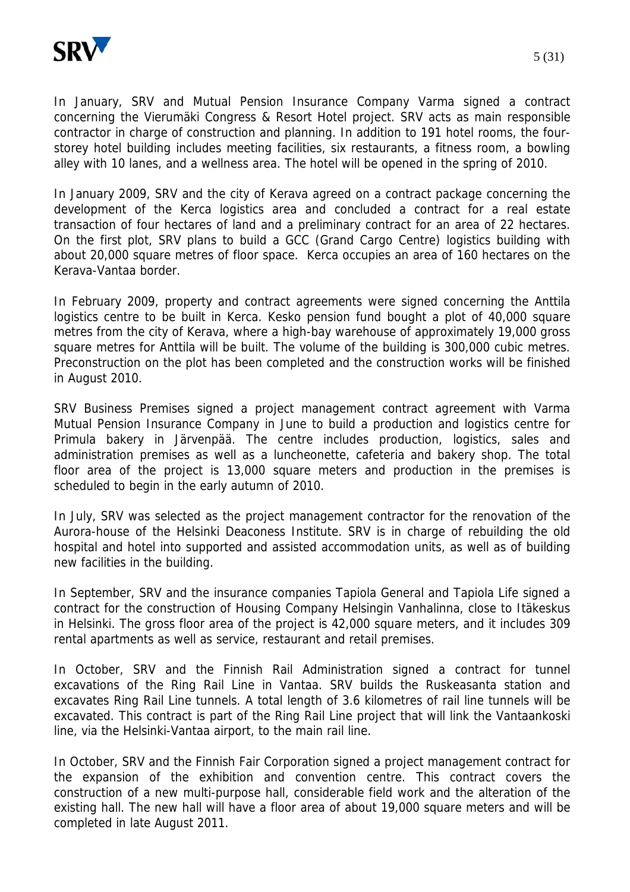

In January, SRV and Mutual Pension Insurance Company Varma signed a contract concerning the Vierumäki Congress & Resort Hotel project. SRV acts as main responsible contractor in charge of construction and planning. In addition to 191 hotel rooms, the fourstorey hotel building includes meeting facilities, six restaurants, a fitness room, a bowling alley with 10 lanes, and a wellness area. The hotel will be opened in the spring of 2010.

In January 2009, SRV and the city of Kerava agreed on a contract package concerning the development of the Kerca logistics area and concluded a contract for a real estate transaction of four hectares of land and a preliminary contract for an area of 22 hectares. On the first plot, SRV plans to build a GCC (Grand Cargo Centre) logistics building with about 20,000 square metres of floor space. Kerca occupies an area of 160 hectares on the Kerava-Vantaa border.

In February 2009, property and contract agreements were signed concerning the Anttila logistics centre to be built in Kerca. Kesko pension fund bought a plot of 40,000 square metres from the city of Kerava, where a high-bay warehouse of approximately 19,000 gross square metres for Anttila will be built. The volume of the building is 300,000 cubic metres. Preconstruction on the plot has been completed and the construction works will be finished in August 2010.

SRV Business Premises signed a project management contract agreement with Varma Mutual Pension Insurance Company in June to build a production and logistics centre for Primula bakery in Järvenpää. The centre includes production, logistics, sales and administration premises as well as a luncheonette, cafeteria and bakery shop. The total floor area of the project is 13,000 square meters and production in the premises is scheduled to begin in the early autumn of 2010.

In July, SRV was selected as the project management contractor for the renovation of the Aurora-house of the Helsinki Deaconess Institute. SRV is in charge of rebuilding the old hospital and hotel into supported and assisted accommodation units, as well as of building new facilities in the building.

In September, SRV and the insurance companies Tapiola General and Tapiola Life signed a contract for the construction of Housing Company Helsingin Vanhalinna, close to Itäkeskus in Helsinki. The gross floor area of the project is 42,000 square meters, and it includes 309 rental apartments as well as service, restaurant and retail premises.

In October, SRV and the Finnish Rail Administration signed a contract for tunnel excavations of the Ring Rail Line in Vantaa. SRV builds the Ruskeasanta station and excavates Ring Rail Line tunnels. A total length of 3.6 kilometres of rail line tunnels will be excavated. This contract is part of the Ring Rail Line project that will link the Vantaankoski line, via the Helsinki-Vantaa airport, to the main rail line.

In October, SRV and the Finnish Fair Corporation signed a project management contract for the expansion of the exhibition and convention centre. This contract covers the construction of a new multi-purpose hall, considerable field work and the alteration of the existing hall. The new hall will have a floor area of about 19,000 square meters and will be completed in late August 2011.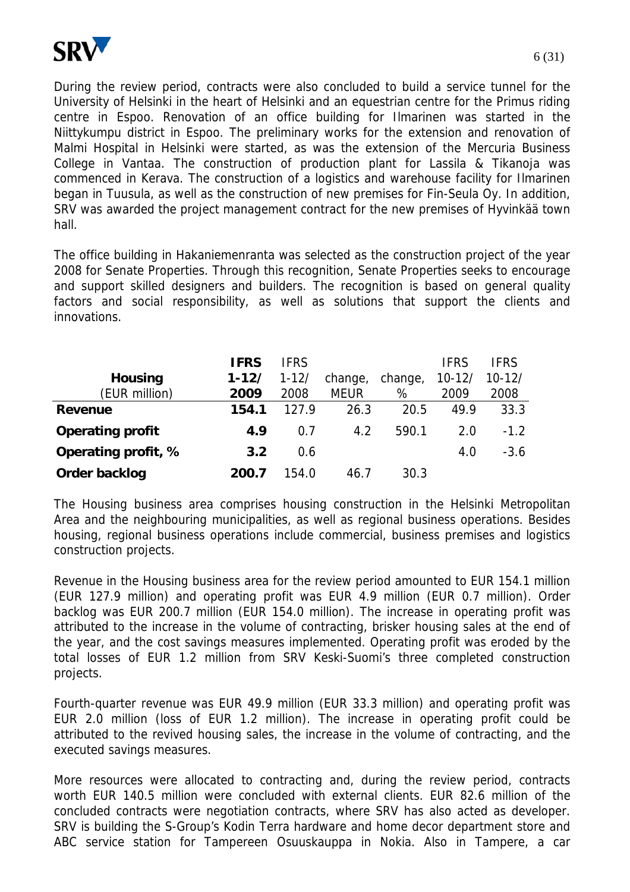

During the review period, contracts were also concluded to build a service tunnel for the University of Helsinki in the heart of Helsinki and an equestrian centre for the Primus riding centre in Espoo. Renovation of an office building for Ilmarinen was started in the Niittykumpu district in Espoo. The preliminary works for the extension and renovation of Malmi Hospital in Helsinki were started, as was the extension of the Mercuria Business College in Vantaa. The construction of production plant for Lassila & Tikanoja was commenced in Kerava. The construction of a logistics and warehouse facility for Ilmarinen began in Tuusula, as well as the construction of new premises for Fin-Seula Oy. In addition, SRV was awarded the project management contract for the new premises of Hyvinkää town hall.

The office building in Hakaniemenranta was selected as the construction project of the year 2008 for Senate Properties. Through this recognition, Senate Properties seeks to encourage and support skilled designers and builders. The recognition is based on general quality factors and social responsibility, as well as solutions that support the clients and innovations.

|                         | <b>IFRS</b> | <b>IFRS</b> |             |         | <b>IFRS</b> | <b>IFRS</b> |
|-------------------------|-------------|-------------|-------------|---------|-------------|-------------|
| <b>Housing</b>          | $1 - 12/$   | $1 - 12/$   | change,     | change, | $10 - 12/$  | $10 - 12/$  |
| (EUR million)           | 2009        | 2008        | <b>MEUR</b> | %       | 2009        | 2008        |
| Revenue                 | 154.1       | 127.9       | 26.3        | 20.5    | 49.9        | 33.3        |
| <b>Operating profit</b> | 4.9         | 0.7         | 4.2         | 590.1   | 2.0         | $-1.2$      |
| Operating profit, %     | 3.2         | 0.6         |             |         | 4.0         | $-3.6$      |
| Order backlog           | 200.7       | 154.0       | 46.7        | 30.3    |             |             |

The Housing business area comprises housing construction in the Helsinki Metropolitan Area and the neighbouring municipalities, as well as regional business operations. Besides housing, regional business operations include commercial, business premises and logistics construction projects.

Revenue in the Housing business area for the review period amounted to EUR 154.1 million (EUR 127.9 million) and operating profit was EUR 4.9 million (EUR 0.7 million). Order backlog was EUR 200.7 million (EUR 154.0 million). The increase in operating profit was attributed to the increase in the volume of contracting, brisker housing sales at the end of the year, and the cost savings measures implemented. Operating profit was eroded by the total losses of EUR 1.2 million from SRV Keski-Suomi's three completed construction projects.

Fourth-quarter revenue was EUR 49.9 million (EUR 33.3 million) and operating profit was EUR 2.0 million (loss of EUR 1.2 million). The increase in operating profit could be attributed to the revived housing sales, the increase in the volume of contracting, and the executed savings measures.

More resources were allocated to contracting and, during the review period, contracts worth EUR 140.5 million were concluded with external clients. EUR 82.6 million of the concluded contracts were negotiation contracts, where SRV has also acted as developer. SRV is building the S-Group's Kodin Terra hardware and home decor department store and ABC service station for Tampereen Osuuskauppa in Nokia. Also in Tampere, a car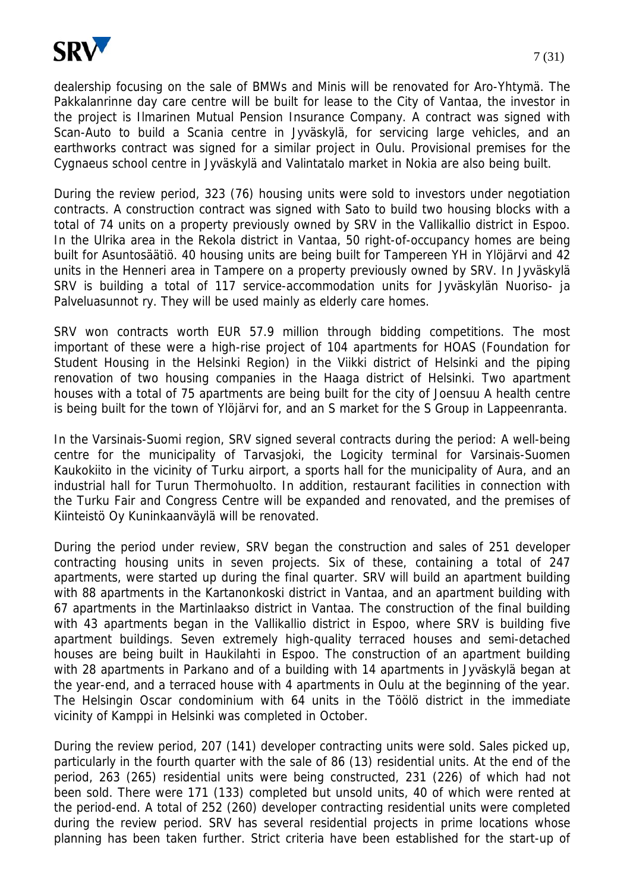

dealership focusing on the sale of BMWs and Minis will be renovated for Aro-Yhtymä. The Pakkalanrinne day care centre will be built for lease to the City of Vantaa, the investor in the project is Ilmarinen Mutual Pension Insurance Company. A contract was signed with Scan-Auto to build a Scania centre in Jyväskylä, for servicing large vehicles, and an earthworks contract was signed for a similar project in Oulu. Provisional premises for the Cygnaeus school centre in Jyväskylä and Valintatalo market in Nokia are also being built.

During the review period, 323 (76) housing units were sold to investors under negotiation contracts. A construction contract was signed with Sato to build two housing blocks with a total of 74 units on a property previously owned by SRV in the Vallikallio district in Espoo. In the Ulrika area in the Rekola district in Vantaa, 50 right-of-occupancy homes are being built for Asuntosäätiö. 40 housing units are being built for Tampereen YH in Ylöjärvi and 42 units in the Henneri area in Tampere on a property previously owned by SRV. In Jyväskylä SRV is building a total of 117 service-accommodation units for Jyväskylän Nuoriso- ja Palveluasunnot ry. They will be used mainly as elderly care homes.

SRV won contracts worth EUR 57.9 million through bidding competitions. The most important of these were a high-rise project of 104 apartments for HOAS (Foundation for Student Housing in the Helsinki Region) in the Viikki district of Helsinki and the piping renovation of two housing companies in the Haaga district of Helsinki. Two apartment houses with a total of 75 apartments are being built for the city of Joensuu A health centre is being built for the town of Ylöjärvi for, and an S market for the S Group in Lappeenranta.

In the Varsinais-Suomi region, SRV signed several contracts during the period: A well-being centre for the municipality of Tarvasjoki, the Logicity terminal for Varsinais-Suomen Kaukokiito in the vicinity of Turku airport, a sports hall for the municipality of Aura, and an industrial hall for Turun Thermohuolto. In addition, restaurant facilities in connection with the Turku Fair and Congress Centre will be expanded and renovated, and the premises of Kiinteistö Oy Kuninkaanväylä will be renovated.

During the period under review, SRV began the construction and sales of 251 developer contracting housing units in seven projects. Six of these, containing a total of 247 apartments, were started up during the final quarter. SRV will build an apartment building with 88 apartments in the Kartanonkoski district in Vantaa, and an apartment building with 67 apartments in the Martinlaakso district in Vantaa. The construction of the final building with 43 apartments began in the Vallikallio district in Espoo, where SRV is building five apartment buildings. Seven extremely high-quality terraced houses and semi-detached houses are being built in Haukilahti in Espoo. The construction of an apartment building with 28 apartments in Parkano and of a building with 14 apartments in Jyväskylä began at the year-end, and a terraced house with 4 apartments in Oulu at the beginning of the year. The Helsingin Oscar condominium with 64 units in the Töölö district in the immediate vicinity of Kamppi in Helsinki was completed in October.

During the review period, 207 (141) developer contracting units were sold. Sales picked up, particularly in the fourth quarter with the sale of 86 (13) residential units. At the end of the period, 263 (265) residential units were being constructed, 231 (226) of which had not been sold. There were 171 (133) completed but unsold units, 40 of which were rented at the period-end. A total of 252 (260) developer contracting residential units were completed during the review period. SRV has several residential projects in prime locations whose planning has been taken further. Strict criteria have been established for the start-up of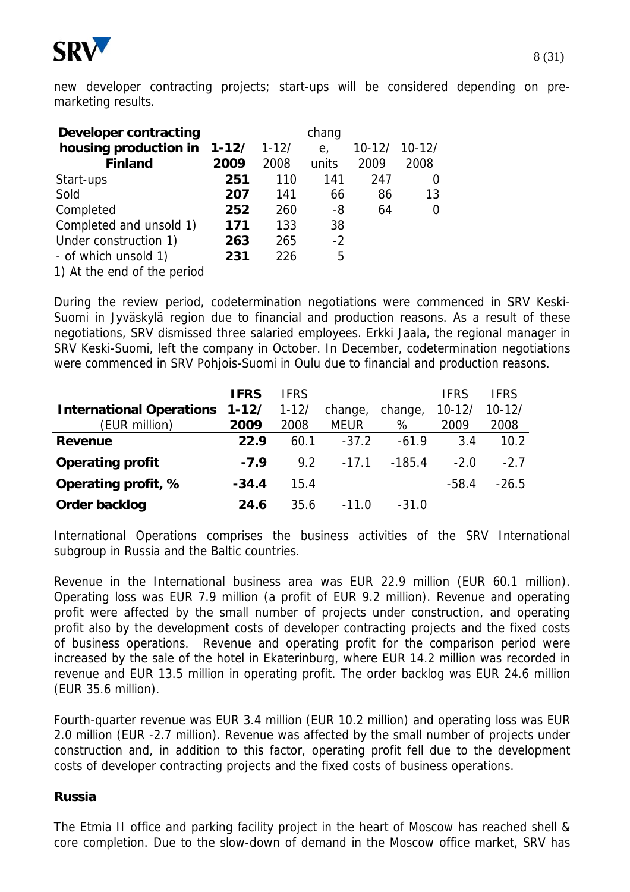

new developer contracting projects; start-ups will be considered depending on premarketing results.

| <b>Developer contracting</b> |      |           | chang          |            |          |  |
|------------------------------|------|-----------|----------------|------------|----------|--|
| housing production in 1-12/  |      | $1 - 12/$ | e <sub>1</sub> | $10 - 12/$ | $10-12/$ |  |
| <b>Finland</b>               | 2009 | 2008      | units          | 2009       | 2008     |  |
| Start-ups                    | 251  | 110       | 141            | 247        | O        |  |
| Sold                         | 207  | 141       | 66             | 86         | 13       |  |
| Completed                    | 252  | 260       | -8             | 64         | O        |  |
| Completed and unsold 1)      | 171  | 133       | 38             |            |          |  |
| Under construction 1)        | 263  | 265       | $-2$           |            |          |  |
| - of which unsold 1)         | 231  | 226       | 5              |            |          |  |
| 1) At the end of the period  |      |           |                |            |          |  |

During the review period, codetermination negotiations were commenced in SRV Keski-Suomi in Jyväskylä region due to financial and production reasons. As a result of these negotiations, SRV dismissed three salaried employees. Erkki Jaala, the regional manager in SRV Keski-Suomi, left the company in October. In December, codetermination negotiations were commenced in SRV Pohjois-Suomi in Oulu due to financial and production reasons.

|                                 | <b>IFRS</b> | <b>IFRS</b> |             |          | <b>IFRS</b> | IFRS       |
|---------------------------------|-------------|-------------|-------------|----------|-------------|------------|
| <b>International Operations</b> | $1 - 12/$   | $1 - 12/$   | change,     | change,  | $10-12/$    | $10 - 12/$ |
| (EUR million)                   | 2009        | 2008        | <b>MEUR</b> | %        | 2009        | 2008       |
| <b>Revenue</b>                  | 22.9        | 60.1        | $-37.2$     | $-61.9$  | 3.4         | 10.2       |
| <b>Operating profit</b>         | $-7.9$      | 9.2         | $-17.1$     | $-185.4$ | $-2.0$      | $-2.7$     |
| Operating profit, %             | $-34.4$     | 15.4        |             |          | $-58.4$     | $-26.5$    |
| Order backlog                   | 24.6        | 35.6        | $-11.0$     | $-31.0$  |             |            |

International Operations comprises the business activities of the SRV International subgroup in Russia and the Baltic countries.

Revenue in the International business area was EUR 22.9 million (EUR 60.1 million). Operating loss was EUR 7.9 million (a profit of EUR 9.2 million). Revenue and operating profit were affected by the small number of projects under construction, and operating profit also by the development costs of developer contracting projects and the fixed costs of business operations. Revenue and operating profit for the comparison period were increased by the sale of the hotel in Ekaterinburg, where EUR 14.2 million was recorded in revenue and EUR 13.5 million in operating profit. The order backlog was EUR 24.6 million (EUR 35.6 million).

Fourth-quarter revenue was EUR 3.4 million (EUR 10.2 million) and operating loss was EUR 2.0 million (EUR -2.7 million). Revenue was affected by the small number of projects under construction and, in addition to this factor, operating profit fell due to the development costs of developer contracting projects and the fixed costs of business operations.

#### **Russia**

The Etmia II office and parking facility project in the heart of Moscow has reached shell & core completion. Due to the slow-down of demand in the Moscow office market, SRV has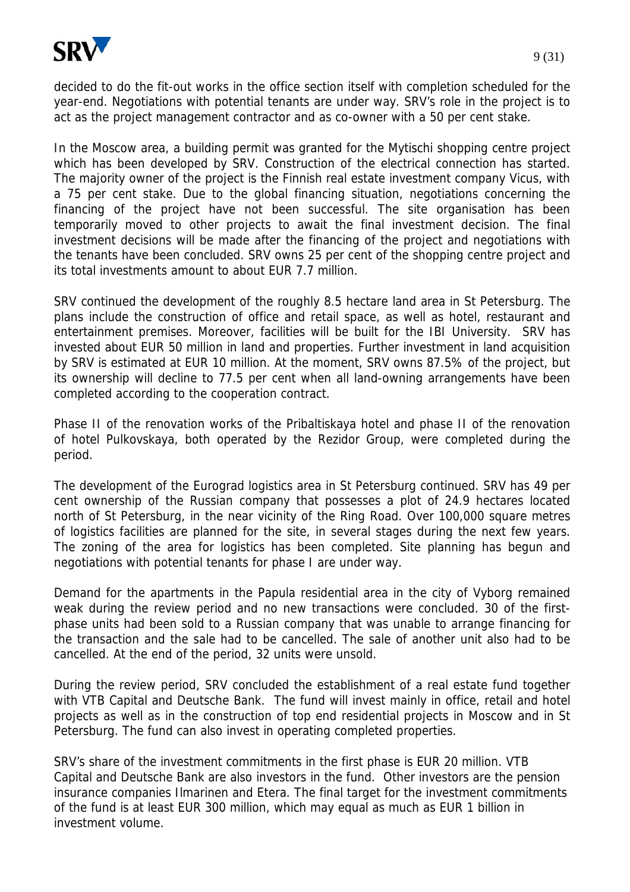

decided to do the fit-out works in the office section itself with completion scheduled for the year-end. Negotiations with potential tenants are under way. SRV's role in the project is to act as the project management contractor and as co-owner with a 50 per cent stake.

In the Moscow area, a building permit was granted for the Mytischi shopping centre project which has been developed by SRV. Construction of the electrical connection has started. The majority owner of the project is the Finnish real estate investment company Vicus, with a 75 per cent stake. Due to the global financing situation, negotiations concerning the financing of the project have not been successful. The site organisation has been temporarily moved to other projects to await the final investment decision. The final investment decisions will be made after the financing of the project and negotiations with the tenants have been concluded. SRV owns 25 per cent of the shopping centre project and its total investments amount to about EUR 7.7 million.

SRV continued the development of the roughly 8.5 hectare land area in St Petersburg. The plans include the construction of office and retail space, as well as hotel, restaurant and entertainment premises. Moreover, facilities will be built for the IBI University. SRV has invested about EUR 50 million in land and properties. Further investment in land acquisition by SRV is estimated at EUR 10 million. At the moment, SRV owns 87.5% of the project, but its ownership will decline to 77.5 per cent when all land-owning arrangements have been completed according to the cooperation contract.

Phase II of the renovation works of the Pribaltiskaya hotel and phase II of the renovation of hotel Pulkovskaya, both operated by the Rezidor Group, were completed during the period.

The development of the Eurograd logistics area in St Petersburg continued. SRV has 49 per cent ownership of the Russian company that possesses a plot of 24.9 hectares located north of St Petersburg, in the near vicinity of the Ring Road. Over 100,000 square metres of logistics facilities are planned for the site, in several stages during the next few years. The zoning of the area for logistics has been completed. Site planning has begun and negotiations with potential tenants for phase I are under way.

Demand for the apartments in the Papula residential area in the city of Vyborg remained weak during the review period and no new transactions were concluded. 30 of the firstphase units had been sold to a Russian company that was unable to arrange financing for the transaction and the sale had to be cancelled. The sale of another unit also had to be cancelled. At the end of the period, 32 units were unsold.

During the review period, SRV concluded the establishment of a real estate fund together with VTB Capital and Deutsche Bank. The fund will invest mainly in office, retail and hotel projects as well as in the construction of top end residential projects in Moscow and in St Petersburg. The fund can also invest in operating completed properties.

SRV's share of the investment commitments in the first phase is EUR 20 million. VTB Capital and Deutsche Bank are also investors in the fund. Other investors are the pension insurance companies Ilmarinen and Etera. The final target for the investment commitments of the fund is at least EUR 300 million, which may equal as much as EUR 1 billion in investment volume.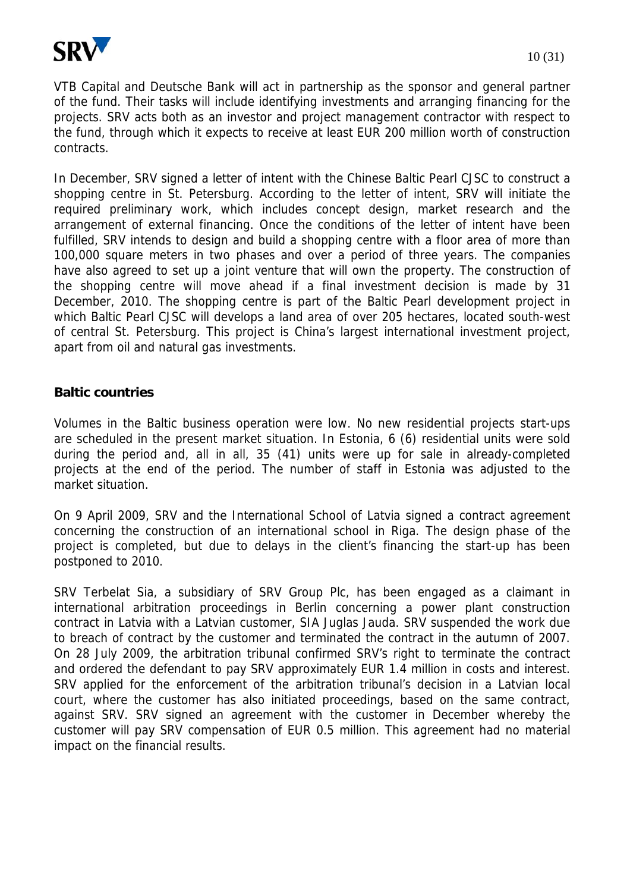

VTB Capital and Deutsche Bank will act in partnership as the sponsor and general partner of the fund. Their tasks will include identifying investments and arranging financing for the projects. SRV acts both as an investor and project management contractor with respect to the fund, through which it expects to receive at least EUR 200 million worth of construction contracts.

In December, SRV signed a letter of intent with the Chinese Baltic Pearl CJSC to construct a shopping centre in St. Petersburg. According to the letter of intent, SRV will initiate the required preliminary work, which includes concept design, market research and the arrangement of external financing. Once the conditions of the letter of intent have been fulfilled, SRV intends to design and build a shopping centre with a floor area of more than 100,000 square meters in two phases and over a period of three years. The companies have also agreed to set up a joint venture that will own the property. The construction of the shopping centre will move ahead if a final investment decision is made by 31 December, 2010. The shopping centre is part of the Baltic Pearl development project in which Baltic Pearl CJSC will develops a land area of over 205 hectares, located south-west of central St. Petersburg. This project is China's largest international investment project, apart from oil and natural gas investments.

#### **Baltic countries**

Volumes in the Baltic business operation were low. No new residential projects start-ups are scheduled in the present market situation. In Estonia, 6 (6) residential units were sold during the period and, all in all, 35 (41) units were up for sale in already-completed projects at the end of the period. The number of staff in Estonia was adjusted to the market situation.

On 9 April 2009, SRV and the International School of Latvia signed a contract agreement concerning the construction of an international school in Riga. The design phase of the project is completed, but due to delays in the client's financing the start-up has been postponed to 2010.

SRV Terbelat Sia, a subsidiary of SRV Group Plc, has been engaged as a claimant in international arbitration proceedings in Berlin concerning a power plant construction contract in Latvia with a Latvian customer, SIA Juglas Jauda. SRV suspended the work due to breach of contract by the customer and terminated the contract in the autumn of 2007. On 28 July 2009, the arbitration tribunal confirmed SRV's right to terminate the contract and ordered the defendant to pay SRV approximately EUR 1.4 million in costs and interest. SRV applied for the enforcement of the arbitration tribunal's decision in a Latvian local court, where the customer has also initiated proceedings, based on the same contract, against SRV. SRV signed an agreement with the customer in December whereby the customer will pay SRV compensation of EUR 0.5 million. This agreement had no material impact on the financial results.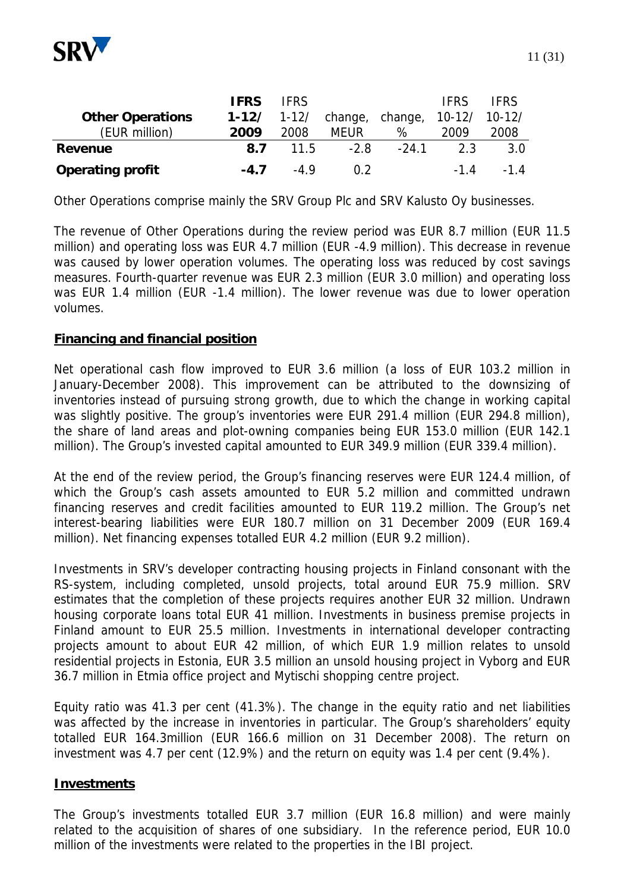

Other Operations comprise mainly the SRV Group Plc and SRV Kalusto Oy businesses.

The revenue of Other Operations during the review period was EUR 8.7 million (EUR 11.5 million) and operating loss was EUR 4.7 million (EUR -4.9 million). This decrease in revenue was caused by lower operation volumes. The operating loss was reduced by cost savings measures. Fourth-quarter revenue was EUR 2.3 million (EUR 3.0 million) and operating loss was EUR 1.4 million (EUR -1.4 million). The lower revenue was due to lower operation volumes.

#### **Financing and financial position**

Net operational cash flow improved to EUR 3.6 million (a loss of EUR 103.2 million in January-December 2008). This improvement can be attributed to the downsizing of inventories instead of pursuing strong growth, due to which the change in working capital was slightly positive. The group's inventories were EUR 291.4 million (EUR 294.8 million), the share of land areas and plot-owning companies being EUR 153.0 million (EUR 142.1 million). The Group's invested capital amounted to EUR 349.9 million (EUR 339.4 million).

At the end of the review period, the Group's financing reserves were EUR 124.4 million, of which the Group's cash assets amounted to EUR 5.2 million and committed undrawn financing reserves and credit facilities amounted to EUR 119.2 million. The Group's net interest-bearing liabilities were EUR 180.7 million on 31 December 2009 (EUR 169.4 million). Net financing expenses totalled EUR 4.2 million (EUR 9.2 million).

Investments in SRV's developer contracting housing projects in Finland consonant with the RS-system, including completed, unsold projects, total around EUR 75.9 million. SRV estimates that the completion of these projects requires another EUR 32 million. Undrawn housing corporate loans total EUR 41 million. Investments in business premise projects in Finland amount to EUR 25.5 million. Investments in international developer contracting projects amount to about EUR 42 million, of which EUR 1.9 million relates to unsold residential projects in Estonia, EUR 3.5 million an unsold housing project in Vyborg and EUR 36.7 million in Etmia office project and Mytischi shopping centre project.

Equity ratio was 41.3 per cent (41.3%). The change in the equity ratio and net liabilities was affected by the increase in inventories in particular. The Group's shareholders' equity totalled EUR 164.3million (EUR 166.6 million on 31 December 2008). The return on investment was 4.7 per cent (12.9%) and the return on equity was 1.4 per cent (9.4%).

#### **Investments**

The Group's investments totalled EUR 3.7 million (EUR 16.8 million) and were mainly related to the acquisition of shares of one subsidiary. In the reference period, EUR 10.0 million of the investments were related to the properties in the IBI project.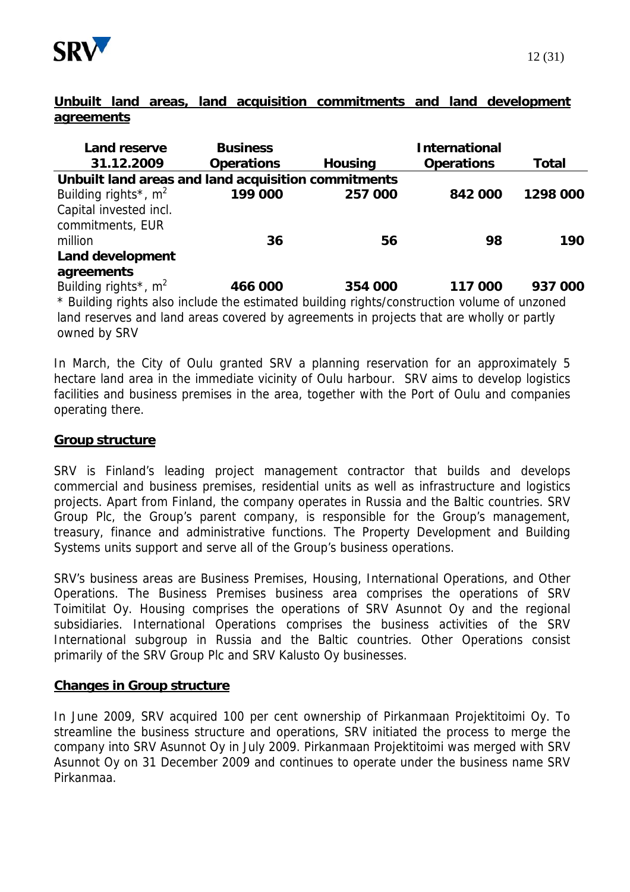

## **Unbuilt land areas, land acquisition commitments and land development agreements**

| <b>Land reserve</b>                                                                         | <b>Business</b>   |                | <b>International</b> |          |  |  |
|---------------------------------------------------------------------------------------------|-------------------|----------------|----------------------|----------|--|--|
| 31.12.2009                                                                                  | <b>Operations</b> | <b>Housing</b> | <b>Operations</b>    | Total    |  |  |
| Unbuilt land areas and land acquisition commitments                                         |                   |                |                      |          |  |  |
| Building rights <sup>*</sup> , $m^2$                                                        | 199 000           | 257 000        | 842 000              | 1298 000 |  |  |
| Capital invested incl.                                                                      |                   |                |                      |          |  |  |
| commitments, EUR                                                                            |                   |                |                      |          |  |  |
| million                                                                                     | 36                | 56             | 98                   | 190      |  |  |
| Land development                                                                            |                   |                |                      |          |  |  |
| agreements                                                                                  |                   |                |                      |          |  |  |
| Building rights <sup>*</sup> , $m^2$                                                        | 466 000           | 354 000        | 117 000              | 937 000  |  |  |
| * Building rights also include the estimated building rights/construction volume of unzoned |                   |                |                      |          |  |  |
| land reserves and land exces sourced by corresponde in projects that are wholly ar northy   |                   |                |                      |          |  |  |

land reserves and land areas covered by agreements in projects that are wholly or partly owned by SRV

In March, the City of Oulu granted SRV a planning reservation for an approximately 5 hectare land area in the immediate vicinity of Oulu harbour. SRV aims to develop logistics facilities and business premises in the area, together with the Port of Oulu and companies operating there.

## **Group structure**

SRV is Finland's leading project management contractor that builds and develops commercial and business premises, residential units as well as infrastructure and logistics projects. Apart from Finland, the company operates in Russia and the Baltic countries. SRV Group Plc, the Group's parent company, is responsible for the Group's management, treasury, finance and administrative functions. The Property Development and Building Systems units support and serve all of the Group's business operations.

SRV's business areas are Business Premises, Housing, International Operations, and Other Operations. The Business Premises business area comprises the operations of SRV Toimitilat Oy. Housing comprises the operations of SRV Asunnot Oy and the regional subsidiaries. International Operations comprises the business activities of the SRV International subgroup in Russia and the Baltic countries. Other Operations consist primarily of the SRV Group Plc and SRV Kalusto Oy businesses.

### **Changes in Group structure**

In June 2009, SRV acquired 100 per cent ownership of Pirkanmaan Projektitoimi Oy. To streamline the business structure and operations, SRV initiated the process to merge the company into SRV Asunnot Oy in July 2009. Pirkanmaan Projektitoimi was merged with SRV Asunnot Oy on 31 December 2009 and continues to operate under the business name SRV Pirkanmaa.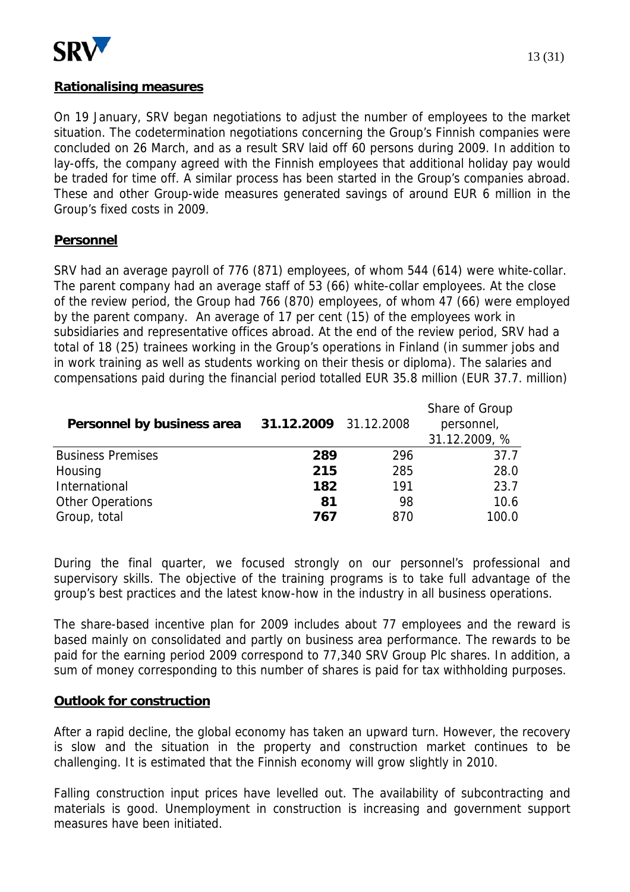

### **Rationalising measures**

On 19 January, SRV began negotiations to adjust the number of employees to the market situation. The codetermination negotiations concerning the Group's Finnish companies were concluded on 26 March, and as a result SRV laid off 60 persons during 2009. In addition to lay-offs, the company agreed with the Finnish employees that additional holiday pay would be traded for time off. A similar process has been started in the Group's companies abroad. These and other Group-wide measures generated savings of around EUR 6 million in the Group's fixed costs in 2009.

### **Personnel**

SRV had an average payroll of 776 (871) employees, of whom 544 (614) were white-collar. The parent company had an average staff of 53 (66) white-collar employees. At the close of the review period, the Group had 766 (870) employees, of whom 47 (66) were employed by the parent company. An average of 17 per cent (15) of the employees work in subsidiaries and representative offices abroad. At the end of the review period, SRV had a total of 18 (25) trainees working in the Group's operations in Finland (in summer jobs and in work training as well as students working on their thesis or diploma). The salaries and compensations paid during the financial period totalled EUR 35.8 million (EUR 37.7. million)

| Personnel by business area | 31.12.2009 31.12.2008 |     | Share of Group<br>personnel,<br>31.12.2009, % |
|----------------------------|-----------------------|-----|-----------------------------------------------|
| <b>Business Premises</b>   | 289                   | 296 | 37.7                                          |
| Housing                    | 215                   | 285 | 28.0                                          |
| International              | 182                   | 191 | 23.7                                          |
| <b>Other Operations</b>    | 81                    | 98  | 10.6                                          |
| Group, total               | 767                   | 870 | 100.0                                         |

During the final quarter, we focused strongly on our personnel's professional and supervisory skills. The objective of the training programs is to take full advantage of the group's best practices and the latest know-how in the industry in all business operations.

The share-based incentive plan for 2009 includes about 77 employees and the reward is based mainly on consolidated and partly on business area performance. The rewards to be paid for the earning period 2009 correspond to 77,340 SRV Group Plc shares. In addition, a sum of money corresponding to this number of shares is paid for tax withholding purposes.

#### **Outlook for construction**

After a rapid decline, the global economy has taken an upward turn. However, the recovery is slow and the situation in the property and construction market continues to be challenging. It is estimated that the Finnish economy will grow slightly in 2010.

Falling construction input prices have levelled out. The availability of subcontracting and materials is good. Unemployment in construction is increasing and government support measures have been initiated.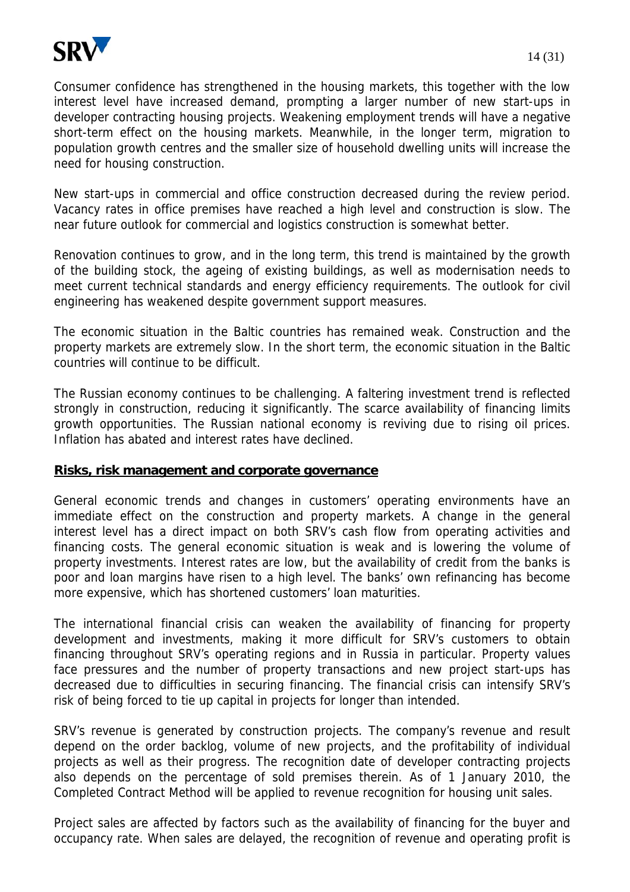

Consumer confidence has strengthened in the housing markets, this together with the low interest level have increased demand, prompting a larger number of new start-ups in developer contracting housing projects. Weakening employment trends will have a negative short-term effect on the housing markets. Meanwhile, in the longer term, migration to population growth centres and the smaller size of household dwelling units will increase the need for housing construction.

New start-ups in commercial and office construction decreased during the review period. Vacancy rates in office premises have reached a high level and construction is slow. The near future outlook for commercial and logistics construction is somewhat better.

Renovation continues to grow, and in the long term, this trend is maintained by the growth of the building stock, the ageing of existing buildings, as well as modernisation needs to meet current technical standards and energy efficiency requirements. The outlook for civil engineering has weakened despite government support measures.

The economic situation in the Baltic countries has remained weak. Construction and the property markets are extremely slow. In the short term, the economic situation in the Baltic countries will continue to be difficult.

The Russian economy continues to be challenging. A faltering investment trend is reflected strongly in construction, reducing it significantly. The scarce availability of financing limits growth opportunities. The Russian national economy is reviving due to rising oil prices. Inflation has abated and interest rates have declined.

#### **Risks, risk management and corporate governance**

General economic trends and changes in customers' operating environments have an immediate effect on the construction and property markets. A change in the general interest level has a direct impact on both SRV's cash flow from operating activities and financing costs. The general economic situation is weak and is lowering the volume of property investments. Interest rates are low, but the availability of credit from the banks is poor and loan margins have risen to a high level. The banks' own refinancing has become more expensive, which has shortened customers' loan maturities.

The international financial crisis can weaken the availability of financing for property development and investments, making it more difficult for SRV's customers to obtain financing throughout SRV's operating regions and in Russia in particular. Property values face pressures and the number of property transactions and new project start-ups has decreased due to difficulties in securing financing. The financial crisis can intensify SRV's risk of being forced to tie up capital in projects for longer than intended.

SRV's revenue is generated by construction projects. The company's revenue and result depend on the order backlog, volume of new projects, and the profitability of individual projects as well as their progress. The recognition date of developer contracting projects also depends on the percentage of sold premises therein. As of 1 January 2010, the Completed Contract Method will be applied to revenue recognition for housing unit sales.

Project sales are affected by factors such as the availability of financing for the buyer and occupancy rate. When sales are delayed, the recognition of revenue and operating profit is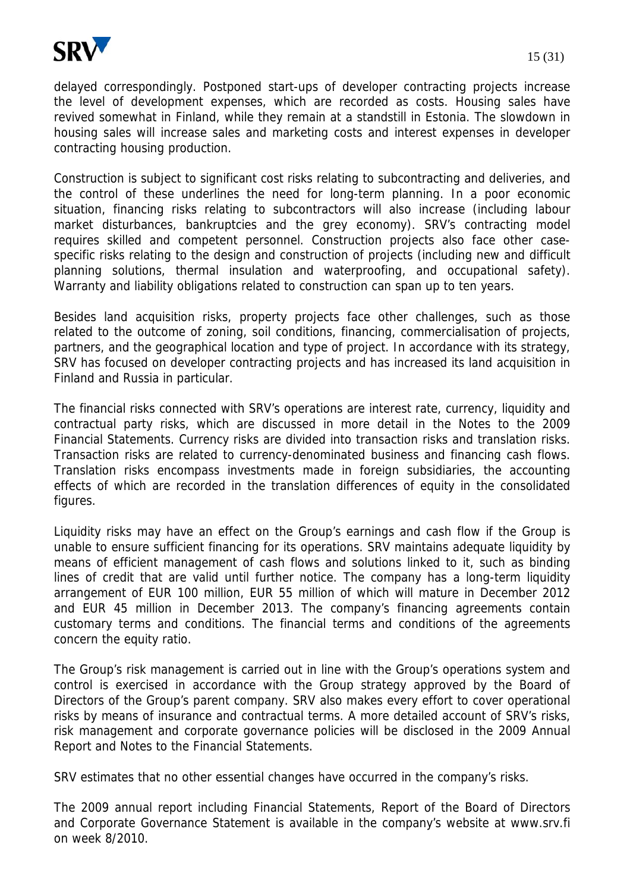

delayed correspondingly. Postponed start-ups of developer contracting projects increase the level of development expenses, which are recorded as costs. Housing sales have revived somewhat in Finland, while they remain at a standstill in Estonia. The slowdown in housing sales will increase sales and marketing costs and interest expenses in developer contracting housing production.

Construction is subject to significant cost risks relating to subcontracting and deliveries, and the control of these underlines the need for long-term planning. In a poor economic situation, financing risks relating to subcontractors will also increase (including labour market disturbances, bankruptcies and the grey economy). SRV's contracting model requires skilled and competent personnel. Construction projects also face other casespecific risks relating to the design and construction of projects (including new and difficult planning solutions, thermal insulation and waterproofing, and occupational safety). Warranty and liability obligations related to construction can span up to ten years.

Besides land acquisition risks, property projects face other challenges, such as those related to the outcome of zoning, soil conditions, financing, commercialisation of projects, partners, and the geographical location and type of project. In accordance with its strategy, SRV has focused on developer contracting projects and has increased its land acquisition in Finland and Russia in particular.

The financial risks connected with SRV's operations are interest rate, currency, liquidity and contractual party risks, which are discussed in more detail in the Notes to the 2009 Financial Statements. Currency risks are divided into transaction risks and translation risks. Transaction risks are related to currency-denominated business and financing cash flows. Translation risks encompass investments made in foreign subsidiaries, the accounting effects of which are recorded in the translation differences of equity in the consolidated figures.

Liquidity risks may have an effect on the Group's earnings and cash flow if the Group is unable to ensure sufficient financing for its operations. SRV maintains adequate liquidity by means of efficient management of cash flows and solutions linked to it, such as binding lines of credit that are valid until further notice. The company has a long-term liquidity arrangement of EUR 100 million, EUR 55 million of which will mature in December 2012 and EUR 45 million in December 2013. The company's financing agreements contain customary terms and conditions. The financial terms and conditions of the agreements concern the equity ratio.

The Group's risk management is carried out in line with the Group's operations system and control is exercised in accordance with the Group strategy approved by the Board of Directors of the Group's parent company. SRV also makes every effort to cover operational risks by means of insurance and contractual terms. A more detailed account of SRV's risks, risk management and corporate governance policies will be disclosed in the 2009 Annual Report and Notes to the Financial Statements.

SRV estimates that no other essential changes have occurred in the company's risks.

The 2009 annual report including Financial Statements, Report of the Board of Directors and Corporate Governance Statement is available in the company's website at www.srv.fi on week 8/2010.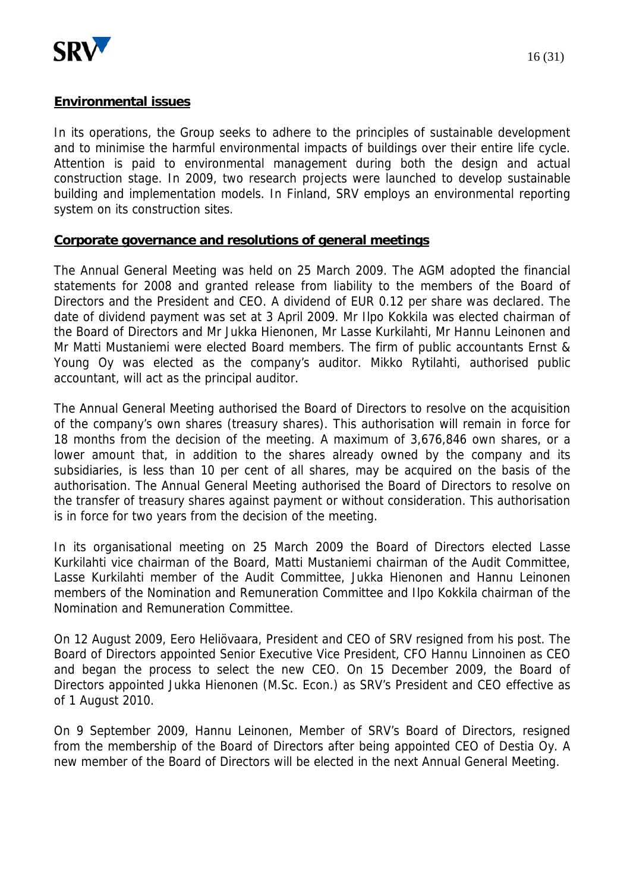

#### **Environmental issues**

In its operations, the Group seeks to adhere to the principles of sustainable development and to minimise the harmful environmental impacts of buildings over their entire life cycle. Attention is paid to environmental management during both the design and actual construction stage. In 2009, two research projects were launched to develop sustainable building and implementation models. In Finland, SRV employs an environmental reporting system on its construction sites.

#### **Corporate governance and resolutions of general meetings**

The Annual General Meeting was held on 25 March 2009. The AGM adopted the financial statements for 2008 and granted release from liability to the members of the Board of Directors and the President and CEO. A dividend of EUR 0.12 per share was declared. The date of dividend payment was set at 3 April 2009. Mr Ilpo Kokkila was elected chairman of the Board of Directors and Mr Jukka Hienonen, Mr Lasse Kurkilahti, Mr Hannu Leinonen and Mr Matti Mustaniemi were elected Board members. The firm of public accountants Ernst & Young Oy was elected as the company's auditor. Mikko Rytilahti, authorised public accountant, will act as the principal auditor.

The Annual General Meeting authorised the Board of Directors to resolve on the acquisition of the company's own shares (treasury shares). This authorisation will remain in force for 18 months from the decision of the meeting. A maximum of 3,676,846 own shares, or a lower amount that, in addition to the shares already owned by the company and its subsidiaries, is less than 10 per cent of all shares, may be acquired on the basis of the authorisation. The Annual General Meeting authorised the Board of Directors to resolve on the transfer of treasury shares against payment or without consideration. This authorisation is in force for two years from the decision of the meeting.

In its organisational meeting on 25 March 2009 the Board of Directors elected Lasse Kurkilahti vice chairman of the Board, Matti Mustaniemi chairman of the Audit Committee, Lasse Kurkilahti member of the Audit Committee, Jukka Hienonen and Hannu Leinonen members of the Nomination and Remuneration Committee and Ilpo Kokkila chairman of the Nomination and Remuneration Committee.

On 12 August 2009, Eero Heliövaara, President and CEO of SRV resigned from his post. The Board of Directors appointed Senior Executive Vice President, CFO Hannu Linnoinen as CEO and began the process to select the new CEO. On 15 December 2009, the Board of Directors appointed Jukka Hienonen (M.Sc. Econ.) as SRV's President and CEO effective as of 1 August 2010.

On 9 September 2009, Hannu Leinonen, Member of SRV's Board of Directors, resigned from the membership of the Board of Directors after being appointed CEO of Destia Oy. A new member of the Board of Directors will be elected in the next Annual General Meeting.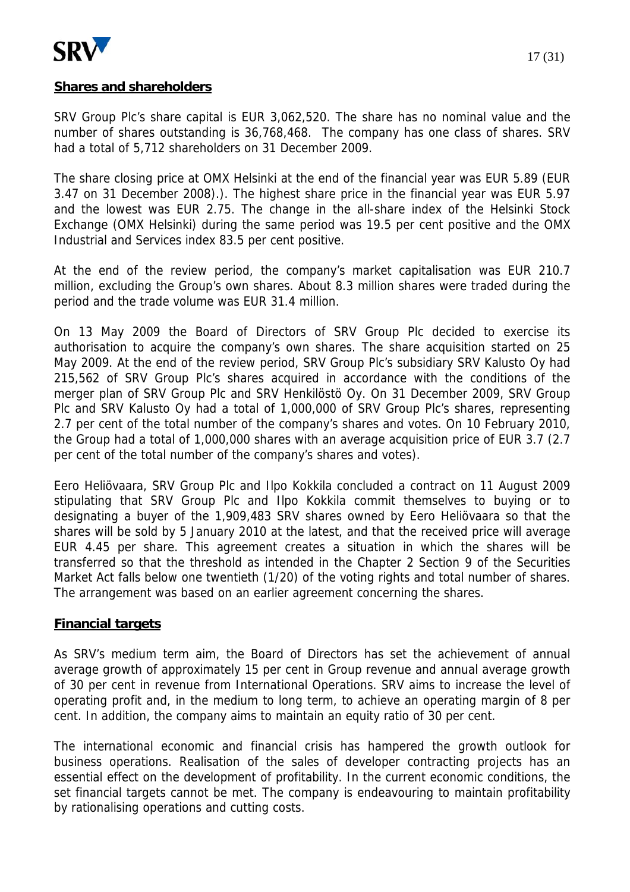

SRV Group Plc's share capital is EUR 3,062,520. The share has no nominal value and the number of shares outstanding is 36,768,468. The company has one class of shares. SRV had a total of 5,712 shareholders on 31 December 2009.

The share closing price at OMX Helsinki at the end of the financial year was EUR 5.89 (EUR 3.47 on 31 December 2008).). The highest share price in the financial year was EUR 5.97 and the lowest was EUR 2.75. The change in the all-share index of the Helsinki Stock Exchange (OMX Helsinki) during the same period was 19.5 per cent positive and the OMX Industrial and Services index 83.5 per cent positive.

At the end of the review period, the company's market capitalisation was EUR 210.7 million, excluding the Group's own shares. About 8.3 million shares were traded during the period and the trade volume was EUR 31.4 million.

On 13 May 2009 the Board of Directors of SRV Group Plc decided to exercise its authorisation to acquire the company's own shares. The share acquisition started on 25 May 2009. At the end of the review period, SRV Group Plc's subsidiary SRV Kalusto Oy had 215,562 of SRV Group Plc's shares acquired in accordance with the conditions of the merger plan of SRV Group Plc and SRV Henkilöstö Oy. On 31 December 2009, SRV Group Plc and SRV Kalusto Oy had a total of 1,000,000 of SRV Group Plc's shares, representing 2.7 per cent of the total number of the company's shares and votes. On 10 February 2010, the Group had a total of 1,000,000 shares with an average acquisition price of EUR 3.7 (2.7 per cent of the total number of the company's shares and votes).

Eero Heliövaara, SRV Group Plc and Ilpo Kokkila concluded a contract on 11 August 2009 stipulating that SRV Group Plc and Ilpo Kokkila commit themselves to buying or to designating a buyer of the 1,909,483 SRV shares owned by Eero Heliövaara so that the shares will be sold by 5 January 2010 at the latest, and that the received price will average EUR 4.45 per share. This agreement creates a situation in which the shares will be transferred so that the threshold as intended in the Chapter 2 Section 9 of the Securities Market Act falls below one twentieth (1/20) of the voting rights and total number of shares. The arrangement was based on an earlier agreement concerning the shares.

#### **Financial targets**

As SRV's medium term aim, the Board of Directors has set the achievement of annual average growth of approximately 15 per cent in Group revenue and annual average growth of 30 per cent in revenue from International Operations. SRV aims to increase the level of operating profit and, in the medium to long term, to achieve an operating margin of 8 per cent. In addition, the company aims to maintain an equity ratio of 30 per cent.

The international economic and financial crisis has hampered the growth outlook for business operations. Realisation of the sales of developer contracting projects has an essential effect on the development of profitability. In the current economic conditions, the set financial targets cannot be met. The company is endeavouring to maintain profitability by rationalising operations and cutting costs.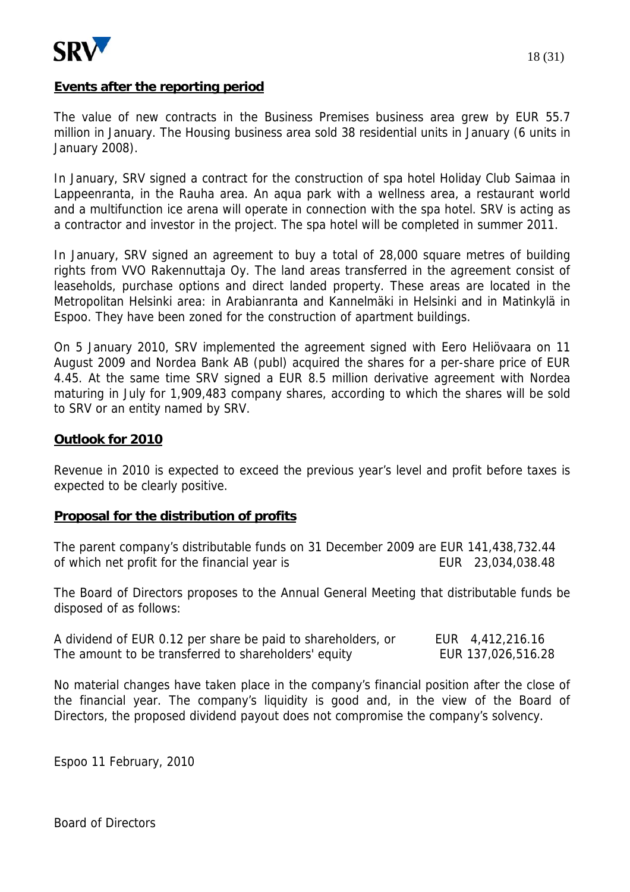

#### **Events after the reporting period**

The value of new contracts in the Business Premises business area grew by EUR 55.7 million in January. The Housing business area sold 38 residential units in January (6 units in January 2008).

In January, SRV signed a contract for the construction of spa hotel Holiday Club Saimaa in Lappeenranta, in the Rauha area. An aqua park with a wellness area, a restaurant world and a multifunction ice arena will operate in connection with the spa hotel. SRV is acting as a contractor and investor in the project. The spa hotel will be completed in summer 2011.

In January, SRV signed an agreement to buy a total of 28,000 square metres of building rights from VVO Rakennuttaja Oy. The land areas transferred in the agreement consist of leaseholds, purchase options and direct landed property. These areas are located in the Metropolitan Helsinki area: in Arabianranta and Kannelmäki in Helsinki and in Matinkylä in Espoo. They have been zoned for the construction of apartment buildings.

On 5 January 2010, SRV implemented the agreement signed with Eero Heliövaara on 11 August 2009 and Nordea Bank AB (publ) acquired the shares for a per-share price of EUR 4.45. At the same time SRV signed a EUR 8.5 million derivative agreement with Nordea maturing in July for 1,909,483 company shares, according to which the shares will be sold to SRV or an entity named by SRV.

#### **Outlook for 2010**

Revenue in 2010 is expected to exceed the previous year's level and profit before taxes is expected to be clearly positive.

#### **Proposal for the distribution of profits**

The parent company's distributable funds on 31 December 2009 are EUR 141,438,732.44 of which net profit for the financial year is EUR 23,034,038.48

The Board of Directors proposes to the Annual General Meeting that distributable funds be disposed of as follows:

| A dividend of EUR 0.12 per share be paid to shareholders, or | EUR 4,412,216.16   |
|--------------------------------------------------------------|--------------------|
| The amount to be transferred to shareholders' equity         | EUR 137,026,516.28 |

No material changes have taken place in the company's financial position after the close of the financial year. The company's liquidity is good and, in the view of the Board of Directors, the proposed dividend payout does not compromise the company's solvency.

Espoo 11 February, 2010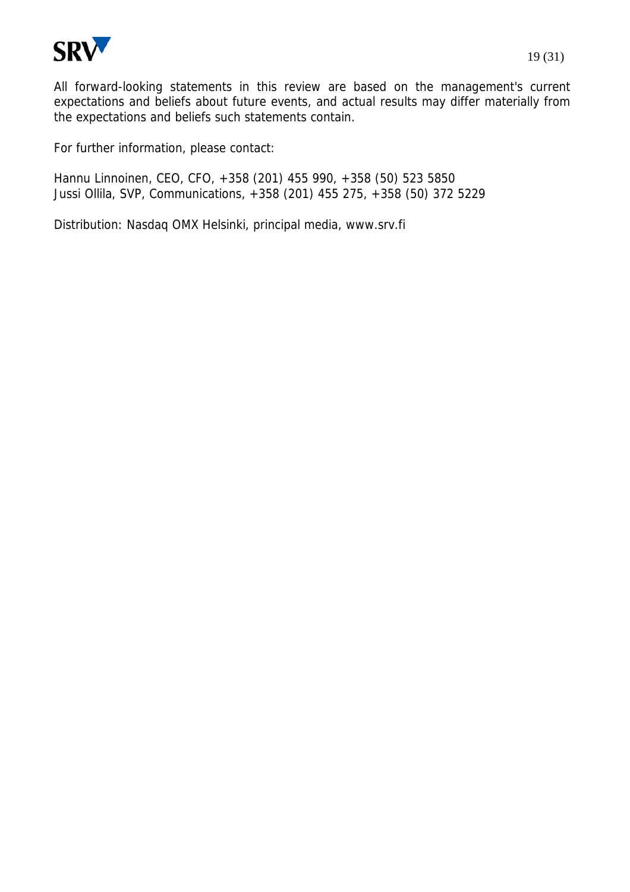

For further information, please contact:

Hannu Linnoinen, CEO, CFO, +358 (201) 455 990, +358 (50) 523 5850 Jussi Ollila, SVP, Communications, +358 (201) 455 275, +358 (50) 372 5229

Distribution: Nasdaq OMX Helsinki, principal media, www.srv.fi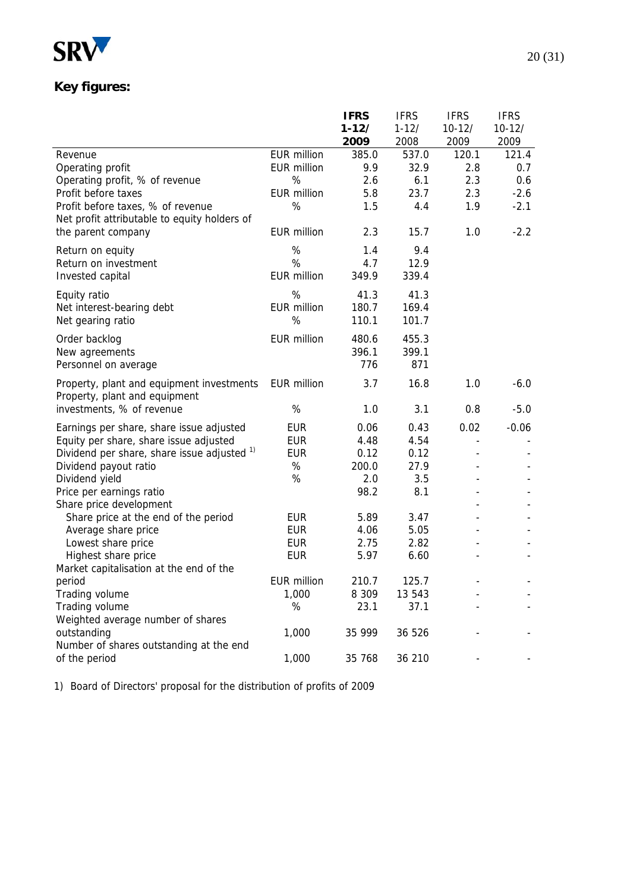

# **Key figures:**

|                                              |                    | <b>IFRS</b> | <b>IFRS</b> | <b>IFRS</b>    | <b>IFRS</b> |
|----------------------------------------------|--------------------|-------------|-------------|----------------|-------------|
|                                              |                    | $1 - 12/$   | $1 - 12/$   | $10 - 12/$     | $10 - 12/$  |
|                                              |                    | 2009        | 2008        | 2009           | 2009        |
| Revenue                                      | <b>EUR million</b> | 385.0       | 537.0       | 120.1          | 121.4       |
| Operating profit                             | <b>EUR million</b> | 9.9         | 32.9        | 2.8            | 0.7         |
| Operating profit, % of revenue               | %                  | 2.6         | 6.1         | 2.3            | 0.6         |
| Profit before taxes                          | <b>EUR million</b> | 5.8         | 23.7        | 2.3            | $-2.6$      |
| Profit before taxes, % of revenue            | %                  | 1.5         | 4.4         | 1.9            | $-2.1$      |
| Net profit attributable to equity holders of |                    |             |             |                |             |
| the parent company                           | <b>EUR</b> million | 2.3         | 15.7        | 1.0            | $-2.2$      |
| Return on equity                             | %                  | 1.4         | 9.4         |                |             |
| Return on investment                         | %                  | 4.7         | 12.9        |                |             |
| Invested capital                             | <b>EUR million</b> | 349.9       | 339.4       |                |             |
| Equity ratio                                 | %                  | 41.3        | 41.3        |                |             |
| Net interest-bearing debt                    | <b>EUR million</b> | 180.7       | 169.4       |                |             |
| Net gearing ratio                            | %                  | 110.1       | 101.7       |                |             |
| Order backlog                                | <b>EUR million</b> | 480.6       | 455.3       |                |             |
| New agreements                               |                    | 396.1       | 399.1       |                |             |
| Personnel on average                         |                    | 776         | 871         |                |             |
| Property, plant and equipment investments    | <b>EUR million</b> | 3.7         | 16.8        | 1.0            | $-6.0$      |
| Property, plant and equipment                |                    |             |             |                |             |
| investments, % of revenue                    | %                  | 1.0         | 3.1         | 0.8            | $-5.0$      |
| Earnings per share, share issue adjusted     | <b>EUR</b>         | 0.06        | 0.43        | 0.02           | $-0.06$     |
| Equity per share, share issue adjusted       | <b>EUR</b>         | 4.48        | 4.54        | $\overline{a}$ |             |
| Dividend per share, share issue adjusted 1)  | <b>EUR</b>         | 0.12        | 0.12        |                |             |
| Dividend payout ratio                        | $\%$               | 200.0       | 27.9        |                |             |
| Dividend yield                               | $\%$               | 2.0         | 3.5         |                |             |
| Price per earnings ratio                     |                    | 98.2        | 8.1         |                |             |
| Share price development                      |                    |             |             |                |             |
| Share price at the end of the period         | EUR                | 5.89        | 3.47        |                |             |
| Average share price                          | <b>EUR</b>         | 4.06        | 5.05        |                |             |
| Lowest share price                           | <b>EUR</b>         | 2.75        | 2.82        |                |             |
| Highest share price                          | <b>EUR</b>         | 5.97        | 6.60        |                |             |
| Market capitalisation at the end of the      |                    |             |             |                |             |
| period                                       | <b>EUR million</b> | 210.7       | 125.7       |                |             |
| Trading volume                               | 1,000              | 8 3 0 9     | 13 543      |                |             |
| Trading volume                               | %                  | 23.1        | 37.1        |                |             |
| Weighted average number of shares            |                    |             |             |                |             |
| outstanding                                  | 1,000              | 35 999      | 36 526      |                |             |
| Number of shares outstanding at the end      |                    |             |             |                |             |
| of the period                                | 1,000              | 35 768      | 36 210      |                |             |

1) Board of Directors' proposal for the distribution of profits of 2009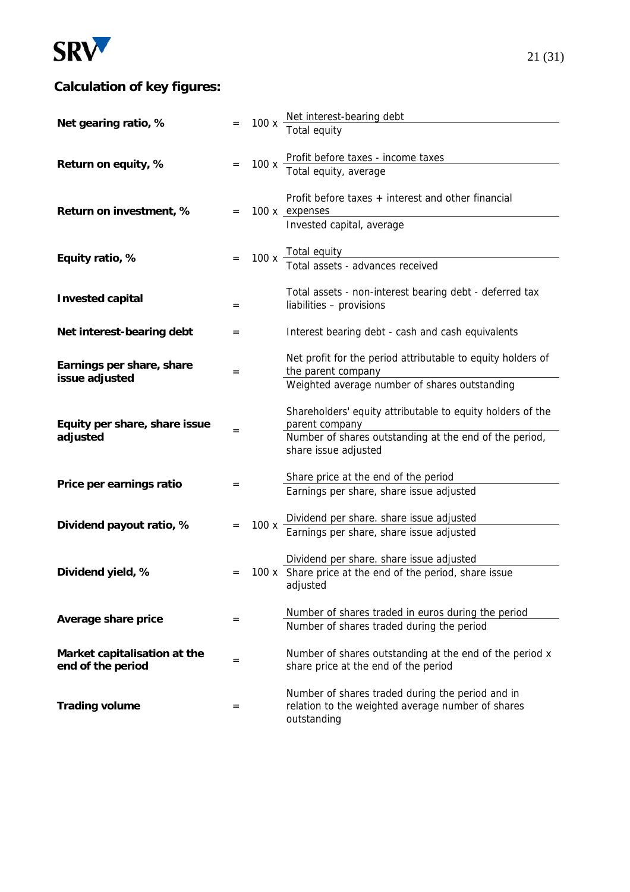

# **Calculation of key figures:**

|                                                   |     | 100x     |                                                                                                                                                                |
|---------------------------------------------------|-----|----------|----------------------------------------------------------------------------------------------------------------------------------------------------------------|
| Net gearing ratio, %                              |     |          | Net interest-bearing debt<br>Total equity                                                                                                                      |
| Return on equity, %                               |     | $100x -$ | Profit before taxes - income taxes<br>Total equity, average                                                                                                    |
| Return on investment, %                           | $=$ |          | Profit before taxes $+$ interest and other financial<br>100 x expenses<br>Invested capital, average                                                            |
| Equity ratio, %                                   |     |          | 100 x Total equity<br>Total assets - advances received                                                                                                         |
| <b>Invested capital</b>                           | $=$ |          | Total assets - non-interest bearing debt - deferred tax<br>liabilities - provisions                                                                            |
| Net interest-bearing debt                         | $=$ |          | Interest bearing debt - cash and cash equivalents                                                                                                              |
| Earnings per share, share<br>issue adjusted       | $=$ |          | Net profit for the period attributable to equity holders of<br>the parent company<br>Weighted average number of shares outstanding                             |
| Equity per share, share issue<br>adjusted         | $=$ |          | Shareholders' equity attributable to equity holders of the<br>parent company<br>Number of shares outstanding at the end of the period,<br>share issue adjusted |
| Price per earnings ratio                          | $=$ |          | Share price at the end of the period<br>Earnings per share, share issue adjusted                                                                               |
| Dividend payout ratio, %                          |     | 100x     | Dividend per share. share issue adjusted<br>Earnings per share, share issue adjusted                                                                           |
| Dividend yield, %                                 |     |          | Dividend per share. share issue adjusted<br>100 x Share price at the end of the period, share issue<br>adjusted                                                |
| Average share price                               | $=$ |          | Number of shares traded in euros during the period<br>Number of shares traded during the period                                                                |
| Market capitalisation at the<br>end of the period | $=$ |          | Number of shares outstanding at the end of the period x<br>share price at the end of the period                                                                |
| <b>Trading volume</b>                             | $=$ |          | Number of shares traded during the period and in<br>relation to the weighted average number of shares<br>outstanding                                           |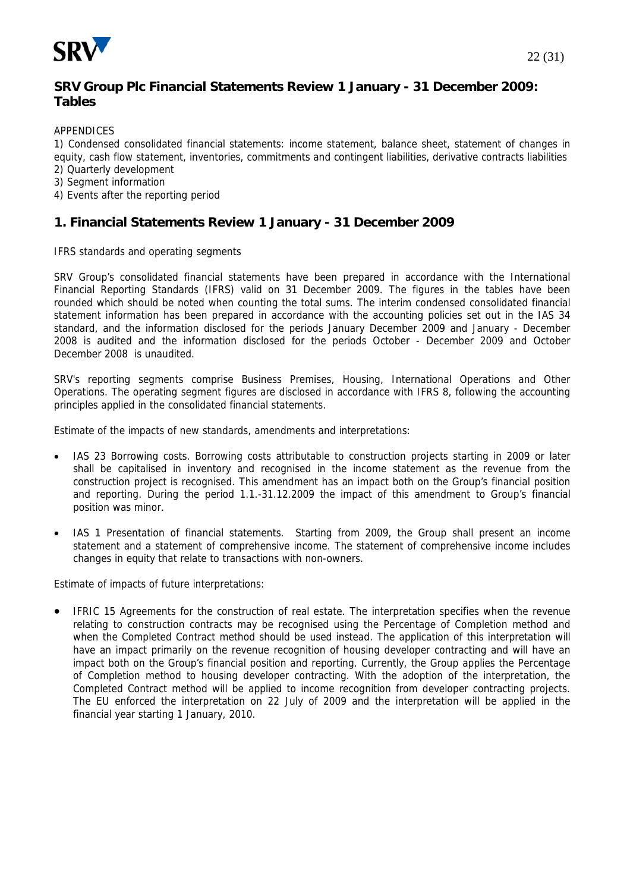

#### **SRV Group Plc Financial Statements Review 1 January - 31 December 2009: Tables**

APPENDICES

1) Condensed consolidated financial statements: income statement, balance sheet, statement of changes in equity, cash flow statement, inventories, commitments and contingent liabilities, derivative contracts liabilities

- 2) Quarterly development
- 3) Segment information
- 4) Events after the reporting period

#### **1. Financial Statements Review 1 January - 31 December 2009**

IFRS standards and operating segments

SRV Group's consolidated financial statements have been prepared in accordance with the International Financial Reporting Standards (IFRS) valid on 31 December 2009. The figures in the tables have been rounded which should be noted when counting the total sums. The interim condensed consolidated financial statement information has been prepared in accordance with the accounting policies set out in the IAS 34 standard, and the information disclosed for the periods January December 2009 and January - December 2008 is audited and the information disclosed for the periods October - December 2009 and October December 2008 is unaudited.

SRV's reporting segments comprise Business Premises, Housing, International Operations and Other Operations. The operating segment figures are disclosed in accordance with IFRS 8, following the accounting principles applied in the consolidated financial statements.

Estimate of the impacts of new standards, amendments and interpretations:

- IAS 23 Borrowing costs. Borrowing costs attributable to construction projects starting in 2009 or later shall be capitalised in inventory and recognised in the income statement as the revenue from the construction project is recognised. This amendment has an impact both on the Group's financial position and reporting. During the period 1.1.-31.12.2009 the impact of this amendment to Group's financial position was minor.
- IAS 1 Presentation of financial statements. Starting from 2009, the Group shall present an income statement and a statement of comprehensive income. The statement of comprehensive income includes changes in equity that relate to transactions with non-owners.

Estimate of impacts of future interpretations:

• IFRIC 15 Agreements for the construction of real estate. The interpretation specifies when the revenue relating to construction contracts may be recognised using the Percentage of Completion method and when the Completed Contract method should be used instead. The application of this interpretation will have an impact primarily on the revenue recognition of housing developer contracting and will have an impact both on the Group's financial position and reporting. Currently, the Group applies the Percentage of Completion method to housing developer contracting. With the adoption of the interpretation, the Completed Contract method will be applied to income recognition from developer contracting projects. The EU enforced the interpretation on 22 July of 2009 and the interpretation will be applied in the financial year starting 1 January, 2010.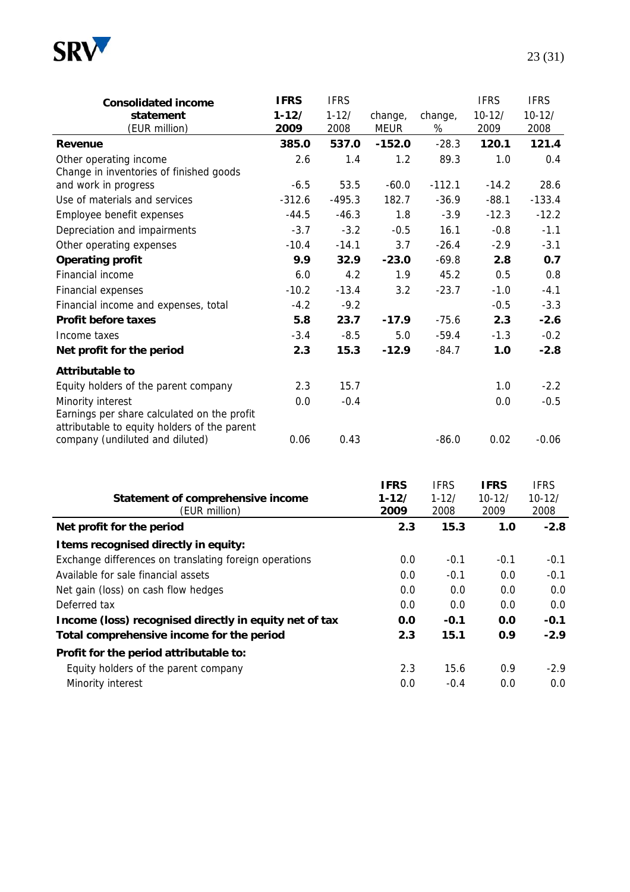

| <b>Consolidated income</b><br>statement<br>(EUR million)          | <b>IFRS</b><br>$1 - 12/$<br>2009 | <b>IFRS</b><br>$1 - 12/$<br>2008 | change,<br><b>MEUR</b> | change,<br>% | <b>IFRS</b><br>$10 - 12/$<br>2009 | <b>IFRS</b><br>$10 - 12/$<br>2008 |
|-------------------------------------------------------------------|----------------------------------|----------------------------------|------------------------|--------------|-----------------------------------|-----------------------------------|
| Revenue                                                           | 385.0                            | 537.0                            | $-152.0$               | $-28.3$      | 120.1                             | 121.4                             |
| Other operating income<br>Change in inventories of finished goods | 2.6                              | 1.4                              | 1.2                    | 89.3         | 1.0                               | 0.4                               |
| and work in progress                                              | $-6.5$                           | 53.5                             | $-60.0$                | $-112.1$     | $-14.2$                           | 28.6                              |
| Use of materials and services                                     | $-312.6$                         | $-495.3$                         | 182.7                  | $-36.9$      | $-88.1$                           | $-133.4$                          |
| Employee benefit expenses                                         | $-44.5$                          | $-46.3$                          | 1.8                    | $-3.9$       | $-12.3$                           | $-12.2$                           |
| Depreciation and impairments                                      | $-3.7$                           | $-3.2$                           | $-0.5$                 | 16.1         | $-0.8$                            | $-1.1$                            |
| Other operating expenses                                          | $-10.4$                          | $-14.1$                          | 3.7                    | $-26.4$      | $-2.9$                            | $-3.1$                            |
| <b>Operating profit</b>                                           | 9.9                              | 32.9                             | $-23.0$                | $-69.8$      | 2.8                               | 0.7                               |
| Financial income                                                  | 6.0                              | 4.2                              | 1.9                    | 45.2         | 0.5                               | 0.8                               |
| Financial expenses                                                | $-10.2$                          | $-13.4$                          | 3.2                    | $-23.7$      | $-1.0$                            | $-4.1$                            |
| Financial income and expenses, total                              | $-4.2$                           | $-9.2$                           |                        |              | $-0.5$                            | $-3.3$                            |
| <b>Profit before taxes</b>                                        | 5.8                              | 23.7                             | $-17.9$                | $-75.6$      | 2.3                               | $-2.6$                            |

| Income taxes                                 | $-3.4$ | $-8.5$ | 5.0     | $-59.4$ | $-1.3$ | $-0.2$  |
|----------------------------------------------|--------|--------|---------|---------|--------|---------|
| Net profit for the period                    | 2.3    | 15.3   | $-12.9$ | $-84.7$ | 1.0    | $-2.8$  |
| Attributable to                              |        |        |         |         |        |         |
| Equity holders of the parent company         | 2.3    | 15.7   |         |         | 1.0    | $-2.2$  |
| Minority interest                            | 0.0    | $-0.4$ |         |         | 0.0    | $-0.5$  |
| Earnings per share calculated on the profit  |        |        |         |         |        |         |
| attributable to equity holders of the parent |        |        |         |         |        |         |
| company (undiluted and diluted)              | 0.06   | 0.43   |         | $-86.0$ | 0.02   | $-0.06$ |

| Statement of comprehensive income<br>(EUR million)     | <b>IFRS</b><br>$1 - 12/$<br>2009 | <b>IFRS</b><br>$1 - 12/$<br>2008 | <b>IFRS</b><br>$10 - 12/$<br>2009 | <b>IFRS</b><br>$10 - 12/$<br>2008 |
|--------------------------------------------------------|----------------------------------|----------------------------------|-----------------------------------|-----------------------------------|
| Net profit for the period                              | 2.3                              | 15.3                             | 1.0                               | $-2.8$                            |
| I tems recognised directly in equity:                  |                                  |                                  |                                   |                                   |
| Exchange differences on translating foreign operations | 0.0                              | $-0.1$                           | $-0.1$                            | $-0.1$                            |
| Available for sale financial assets                    | 0.0                              | $-0.1$                           | 0.0                               | $-0.1$                            |
| Net gain (loss) on cash flow hedges                    | 0.0                              | 0.0                              | 0.0                               | 0.0                               |
| Deferred tax                                           | 0.0                              | 0.0                              | 0.0                               | 0.0                               |
| Income (loss) recognised directly in equity net of tax | 0.0                              | $-0.1$                           | 0.0                               | $-0.1$                            |
| Total comprehensive income for the period              | 2.3                              | 15.1                             | 0.9                               | $-2.9$                            |
| Profit for the period attributable to:                 |                                  |                                  |                                   |                                   |
| Equity holders of the parent company                   | 2.3                              | 15.6                             | 0.9                               | $-2.9$                            |
| Minority interest                                      | 0.0                              | $-0.4$                           | 0.0                               | 0.0                               |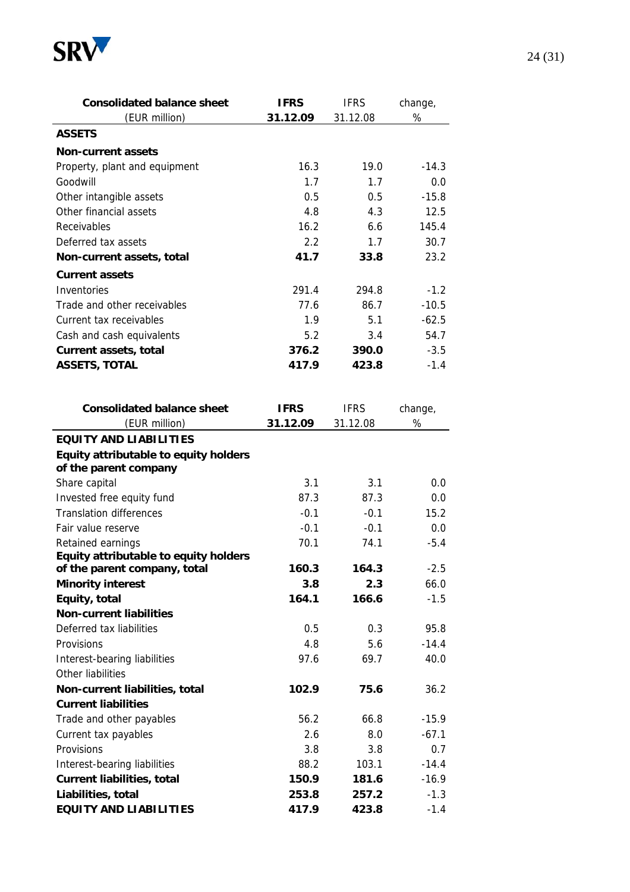

| <b>Consolidated balance sheet</b>                          | <b>IFRS</b> | <b>IFRS</b> | change, |
|------------------------------------------------------------|-------------|-------------|---------|
| (EUR million)                                              | 31.12.09    | 31.12.08    | $\%$    |
| <b>ASSETS</b>                                              |             |             |         |
| <b>Non-current assets</b>                                  |             |             |         |
| Property, plant and equipment                              | 16.3        | 19.0        | $-14.3$ |
| Goodwill                                                   | 1.7         | 1.7         | 0.0     |
| Other intangible assets                                    | 0.5         | 0.5         | $-15.8$ |
| Other financial assets                                     | 4.8         | 4.3         | 12.5    |
| Receivables                                                | 16.2        | 6.6         | 145.4   |
| Deferred tax assets                                        | 2.2         | 1.7         | 30.7    |
| Non-current assets, total                                  | 41.7        | 33.8        | 23.2    |
| <b>Current assets</b>                                      |             |             |         |
| Inventories                                                | 291.4       | 294.8       | $-1.2$  |
| Trade and other receivables                                | 77.6        | 86.7        | $-10.5$ |
| Current tax receivables                                    | 1.9         | 5.1         | $-62.5$ |
| Cash and cash equivalents                                  | 5.2         | 3.4         | 54.7    |
| <b>Current assets, total</b>                               | 376.2       | 390.0       | $-3.5$  |
| <b>ASSETS, TOTAL</b>                                       | 417.9       | 423.8       | $-1.4$  |
|                                                            |             |             |         |
|                                                            |             |             |         |
| <b>Consolidated balance sheet</b>                          | <b>IFRS</b> | <b>IFRS</b> | change, |
| (EUR million)                                              | 31.12.09    | 31.12.08    | %       |
| <b>EQUITY AND LIABILITIES</b>                              |             |             |         |
| Equity attributable to equity holders                      |             |             |         |
| of the parent company                                      |             |             |         |
| Share capital                                              | 3.1         | 3.1         | 0.0     |
| Invested free equity fund                                  | 87.3        | 87.3        | 0.0     |
| <b>Translation differences</b>                             | $-0.1$      | $-0.1$      | 15.2    |
| Fair value reserve                                         | $-0.1$      | $-0.1$      | 0.0     |
| Retained earnings<br>Equity attributable to equity holders | 70.1        | 74.1        | $-5.4$  |
| of the parent company, total                               | 160.3       | 164.3       | -2.5    |
| <b>Minority interest</b>                                   | 3.8         | 2.3         | 66.0    |
| Equity, total                                              | 164.1       | 166.6       | $-1.5$  |
| <b>Non-current liabilities</b>                             |             |             |         |
| Deferred tax liabilities                                   | 0.5         | 0.3         | 95.8    |
| Provisions                                                 | 4.8         | 5.6         | $-14.4$ |
| Interest-bearing liabilities                               | 97.6        | 69.7        | 40.0    |
| Other liabilities                                          |             |             |         |
| Non-current liabilities, total                             | 102.9       | 75.6        | 36.2    |
| <b>Current liabilities</b>                                 |             |             |         |
| Trade and other payables                                   | 56.2        | 66.8        | $-15.9$ |
| Current tax payables                                       | 2.6         | 8.0         | $-67.1$ |
| Provisions                                                 | 3.8         | 3.8         | 0.7     |
| Interest-bearing liabilities                               | 88.2        | 103.1       | $-14.4$ |
| <b>Current liabilities, total</b>                          | 150.9       | 181.6       | $-16.9$ |
| Liabilities, total                                         | 253.8       | 257.2       | $-1.3$  |
| <b>EQUITY AND LIABILITIES</b>                              | 417.9       | 423.8       | $-1.4$  |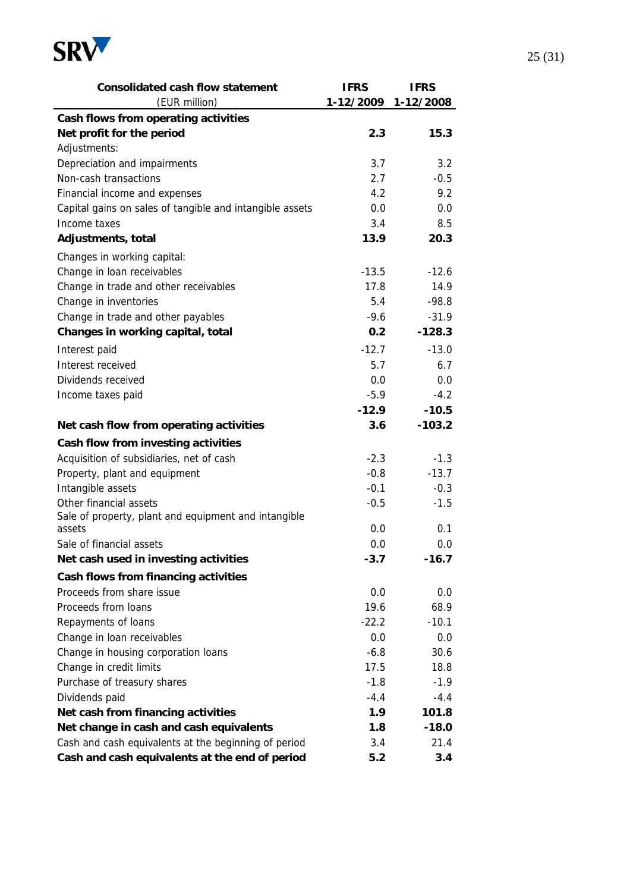

| <b>Consolidated cash flow statement</b>                  | <b>IFRS</b> | <b>IFRS</b>         |
|----------------------------------------------------------|-------------|---------------------|
| (EUR million)                                            |             | 1-12/2009 1-12/2008 |
| Cash flows from operating activities                     |             |                     |
| Net profit for the period                                | 2.3         | 15.3                |
| Adjustments:                                             |             |                     |
| Depreciation and impairments                             | 3.7         | 3.2                 |
| Non-cash transactions                                    | 2.7         | $-0.5$              |
| Financial income and expenses                            | 4.2         | 9.2                 |
| Capital gains on sales of tangible and intangible assets | 0.0         | 0.0                 |
| Income taxes                                             | 3.4         | 8.5                 |
| Adjustments, total                                       | 13.9        | 20.3                |
| Changes in working capital:                              |             |                     |
| Change in loan receivables                               | $-13.5$     | $-12.6$             |
| Change in trade and other receivables                    | 17.8        | 14.9                |
| Change in inventories                                    | 5.4         | $-98.8$             |
| Change in trade and other payables                       | $-9.6$      | $-31.9$             |
| Changes in working capital, total                        | 0.2         | $-128.3$            |
| Interest paid                                            | $-12.7$     | $-13.0$             |
| Interest received                                        | 5.7         | 6.7                 |
| Dividends received                                       | 0.0         | 0.0                 |
| Income taxes paid                                        | $-5.9$      | $-4.2$              |
|                                                          | $-12.9$     | $-10.5$             |
| Net cash flow from operating activities                  | 3.6         | $-103.2$            |
| Cash flow from investing activities                      |             |                     |
| Acquisition of subsidiaries, net of cash                 | $-2.3$      | $-1.3$              |
| Property, plant and equipment                            | $-0.8$      | $-13.7$             |
| Intangible assets                                        | $-0.1$      | $-0.3$              |
| Other financial assets                                   | $-0.5$      | $-1.5$              |
| Sale of property, plant and equipment and intangible     |             |                     |
| assets                                                   | 0.0         | 0.1                 |
| Sale of financial assets                                 | 0.0         | 0.0                 |
| Net cash used in investing activities                    | $-3.7$      | $-16.7$             |
| Cash flows from financing activities                     |             |                     |
| Proceeds from share issue                                | 0.0         | 0.0                 |
| Proceeds from loans                                      | 19.6        | 68.9                |
| Repayments of loans                                      | $-22.2$     | $-10.1$             |
| Change in loan receivables                               | 0.0         | 0.0                 |
| Change in housing corporation loans                      | $-6.8$      | 30.6                |
| Change in credit limits                                  | 17.5        | 18.8                |
| Purchase of treasury shares                              | $-1.8$      | $-1.9$              |
| Dividends paid                                           | $-4.4$      | $-4.4$              |
| Net cash from financing activities                       | 1.9         | 101.8               |
| Net change in cash and cash equivalents                  | 1.8         | $-18.0$             |
| Cash and cash equivalents at the beginning of period     | 3.4         | 21.4                |
| Cash and cash equivalents at the end of period           | 5.2         | 3.4                 |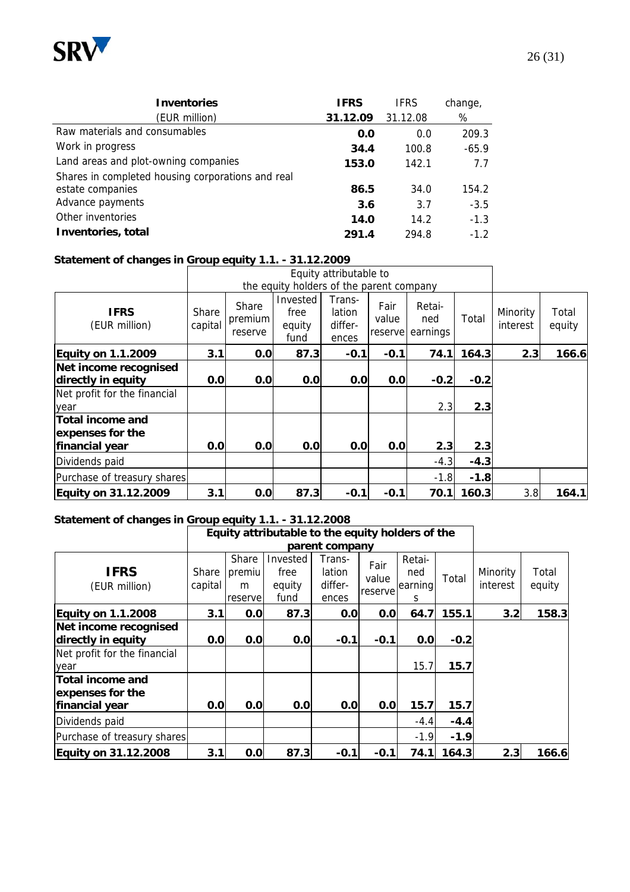

| <b>Inventories</b>                                | <b>IFRS</b> | <b>IFRS</b> | change, |
|---------------------------------------------------|-------------|-------------|---------|
| (EUR million)                                     | 31.12.09    | 31.12.08    | %       |
| Raw materials and consumables                     | 0.0         | 0.0         | 209.3   |
| Work in progress                                  | 34.4        | 100.8       | $-65.9$ |
| Land areas and plot-owning companies              | 153.0       | 142.1       | 7.7     |
| Shares in completed housing corporations and real |             |             |         |
| estate companies                                  | 86.5        | 34.0        | 154.2   |
| Advance payments                                  | 3.6         | 3.7         | $-3.5$  |
| Other inventories                                 | 14.0        | 14.2        | $-1.3$  |
| Inventories, total                                | 291.4       | 294.8       | $-1.2$  |

#### **Statement of changes in Group equity 1.1. - 31.12.2009**

|                                                                             |                         |                             |                                          | Equity attributable to               |                          |                           |        |                      |                 |
|-----------------------------------------------------------------------------|-------------------------|-----------------------------|------------------------------------------|--------------------------------------|--------------------------|---------------------------|--------|----------------------|-----------------|
|                                                                             |                         |                             | the equity holders of the parent company |                                      |                          |                           |        |                      |                 |
| <b>IFRS</b><br>(EUR million)                                                | <b>Share</b><br>capital | Share<br>premium<br>reserve | Invested<br>free<br>equity<br>fund       | Trans-<br>lation<br>differ-<br>ences | Fair<br>value<br>reserve | Retai-<br>ned<br>earnings | Total  | Minority<br>interest | Total<br>equity |
| <b>Equity on 1.1.2009</b>                                                   | 3.1                     | 0.0                         | 87.3                                     | $-0.1$                               | $-0.1$                   | 74.1                      | 164.3  | 2.3                  | 166.6           |
| Net income recognised<br>directly in equity<br>Net profit for the financial | 0.0                     | 0.0                         | 0.0                                      | 0.0                                  | 0.0                      | $-0.2$                    | $-0.2$ |                      |                 |
| year                                                                        |                         |                             |                                          |                                      |                          | 2.3                       | 2.3    |                      |                 |
| <b>Total income and</b><br>expenses for the                                 |                         |                             |                                          |                                      |                          |                           |        |                      |                 |
| financial year                                                              | 0.0                     | 0.0                         | 0.0                                      | 0.0                                  | 0.0                      | 2.3                       | 2.3    |                      |                 |
| Dividends paid                                                              |                         |                             |                                          |                                      |                          | $-4.3$                    | $-4.3$ |                      |                 |
| Purchase of treasury shares                                                 |                         |                             |                                          |                                      |                          | $-1.8$                    | $-1.8$ |                      |                 |
| Equity on 31.12.2009                                                        | 3.1                     | 0.0                         | 87.3                                     | $-0.1$                               | $-0.1$                   | 70.1                      | 160.3  | 3.8                  | 164.1           |

#### **Statement of changes in Group equity 1.1. - 31.12.2008**

|                                                                                     |                  |                                 | Equity attributable to the equity holders of the |                                      |                          |                               |                |                      |                 |
|-------------------------------------------------------------------------------------|------------------|---------------------------------|--------------------------------------------------|--------------------------------------|--------------------------|-------------------------------|----------------|----------------------|-----------------|
|                                                                                     |                  |                                 |                                                  | parent company                       |                          |                               |                |                      |                 |
| <b>IFRS</b><br>(EUR million)                                                        | Share<br>capital | Share<br>premiu<br>m<br>reserve | Invested<br>free<br>equity<br>fund               | Trans-<br>lation<br>differ-<br>ences | Fair<br>value<br>reserve | Retai-<br>ned<br>earning<br>S | Total          | Minority<br>interest | Total<br>equity |
| <b>Equity on 1.1.2008</b>                                                           | 3.1              | 0.0                             | 87.3                                             | 0.0                                  | 0.0                      | 64.7                          | 155.1          | 3.2                  | 158.3           |
| Net income recognised<br>directly in equity<br>Net profit for the financial<br>year | 0.0              | 0.0                             | 0.0                                              | $-0.1$                               | $-0.1$                   | 0.0<br>15.7                   | $-0.2$<br>15.7 |                      |                 |
| Total income and<br>expenses for the<br><b>financial year</b>                       | 0.0              | 0.0                             | 0.0                                              | 0.0                                  | 0.0                      | 15.7                          | 15.7           |                      |                 |
| Dividends paid                                                                      |                  |                                 |                                                  |                                      |                          | $-4.4$                        | $-4.4$         |                      |                 |
| Purchase of treasury shares                                                         |                  |                                 |                                                  |                                      |                          | $-1.9$                        | $-1.9$         |                      |                 |
| Equity on 31.12.2008                                                                | 3.1              | 0.0                             | 87.3                                             | $-0.1$                               | $-0.1$                   | 74.1                          | 164.3          | 2.3                  | 166.6           |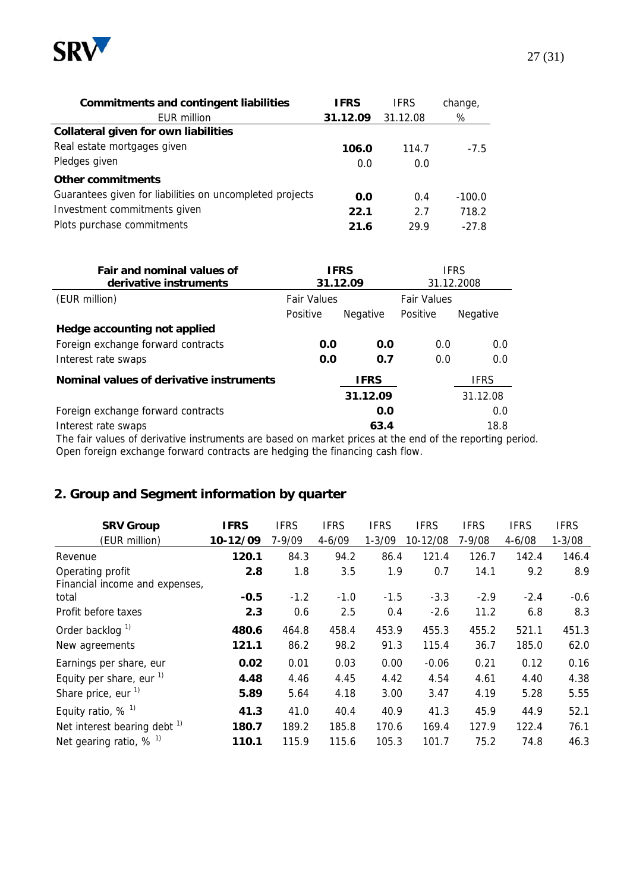

| <b>Commitments and contingent liabilities</b>            | <b>IFRS</b> | <b>IFRS</b> | change,  |
|----------------------------------------------------------|-------------|-------------|----------|
| <b>EUR million</b>                                       | 31.12.09    | 31.12.08    | %        |
| <b>Collateral given for own liabilities</b>              |             |             |          |
| Real estate mortgages given                              | 106.0       | 114.7       | $-7.5$   |
| Pledges given                                            | 0.0         | 0.0         |          |
| Other commitments                                        |             |             |          |
| Guarantees given for liabilities on uncompleted projects | 0.0         | 0.4         | $-100.0$ |
| Investment commitments given                             | 22.1        | 2.7         | 718.2    |
| Plots purchase commitments                               | 21.6        | 29.9        | $-27.8$  |

| <b>Fair and nominal values of</b><br>derivative instruments | <b>IFRS</b><br><b>IFRS</b><br>31.12.09<br>31.12.2008 |                 |                    |                 |
|-------------------------------------------------------------|------------------------------------------------------|-----------------|--------------------|-----------------|
| (EUR million)                                               | <b>Fair Values</b>                                   |                 | <b>Fair Values</b> |                 |
|                                                             | Positive                                             | <b>Negative</b> | Positive           | <b>Negative</b> |
| Hedge accounting not applied                                |                                                      |                 |                    |                 |
| Foreign exchange forward contracts                          | 0.0                                                  | 0.0             | 0.0                | 0.0             |
| Interest rate swaps                                         | 0.0                                                  | 0.7             | 0.0                | 0.0             |
| Nominal values of derivative instruments                    |                                                      | <b>IFRS</b>     |                    | <b>IFRS</b>     |
|                                                             |                                                      | 31.12.09        |                    | 31.12.08        |
| Foreign exchange forward contracts                          |                                                      | 0.0             |                    | 0.0             |
| Interest rate swaps                                         |                                                      | 63.4            |                    | 18.8            |

The fair values of derivative instruments are based on market prices at the end of the reporting period. Open foreign exchange forward contracts are hedging the financing cash flow.

# **2. Group and Segment information by quarter**

| <b>SRV Group</b>                                   | <b>IFRS</b> | <b>IFRS</b> | <b>IFRS</b> | <b>IFRS</b> | <b>IFRS</b> | <b>IFRS</b> | <b>IFRS</b> | <b>IFRS</b> |
|----------------------------------------------------|-------------|-------------|-------------|-------------|-------------|-------------|-------------|-------------|
| (EUR million)                                      | 10-12/09    | 7-9/09      | $4 - 6/09$  | $1 - 3/09$  | 10-12/08    | $7 - 9/08$  | $4 - 6/08$  | $1 - 3/08$  |
| Revenue                                            | 120.1       | 84.3        | 94.2        | 86.4        | 121.4       | 126.7       | 142.4       | 146.4       |
| Operating profit<br>Financial income and expenses, | 2.8         | 1.8         | 3.5         | 1.9         | 0.7         | 14.1        | 9.2         | 8.9         |
| total                                              | $-0.5$      | $-1.2$      | $-1.0$      | $-1.5$      | $-3.3$      | $-2.9$      | $-2.4$      | $-0.6$      |
| Profit before taxes                                | 2.3         | 0.6         | 2.5         | 0.4         | $-2.6$      | 11.2        | 6.8         | 8.3         |
| Order backlog <sup>1)</sup>                        | 480.6       | 464.8       | 458.4       | 453.9       | 455.3       | 455.2       | 521.1       | 451.3       |
| New agreements                                     | 121.1       | 86.2        | 98.2        | 91.3        | 115.4       | 36.7        | 185.0       | 62.0        |
| Earnings per share, eur                            | 0.02        | 0.01        | 0.03        | 0.00        | $-0.06$     | 0.21        | 0.12        | 0.16        |
| Equity per share, eur $1$                          | 4.48        | 4.46        | 4.45        | 4.42        | 4.54        | 4.61        | 4.40        | 4.38        |
| Share price, eur <sup>1)</sup>                     | 5.89        | 5.64        | 4.18        | 3.00        | 3.47        | 4.19        | 5.28        | 5.55        |
| Equity ratio, $%$ <sup>1)</sup>                    | 41.3        | 41.0        | 40.4        | 40.9        | 41.3        | 45.9        | 44.9        | 52.1        |
| Net interest bearing debt <sup>1)</sup>            | 180.7       | 189.2       | 185.8       | 170.6       | 169.4       | 127.9       | 122.4       | 76.1        |
| Net gearing ratio, $%$ <sup>1)</sup>               | 110.1       | 115.9       | 115.6       | 105.3       | 101.7       | 75.2        | 74.8        | 46.3        |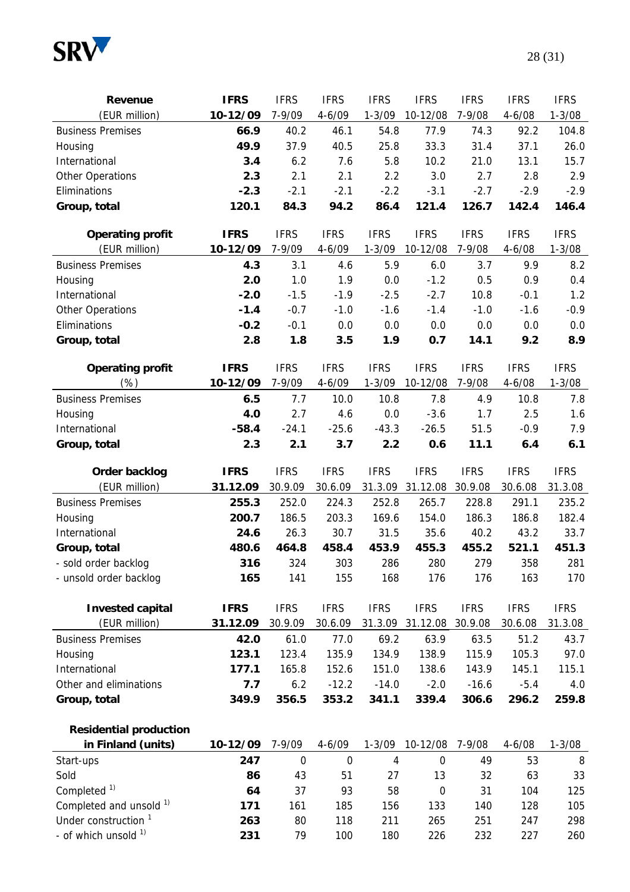

| Revenue                         | <b>IFRS</b>     | <b>IFRS</b>                | <b>IFRS</b>               | <b>IFRS</b> | <b>IFRS</b>                  | <b>IFRS</b>  | <b>IFRS</b>      | <b>IFRS</b>     |
|---------------------------------|-----------------|----------------------------|---------------------------|-------------|------------------------------|--------------|------------------|-----------------|
| (EUR million)                   | 10-12/09        | 7-9/09                     | $4 - 6/09$                | $1 - 3/09$  | 10-12/08                     | 7-9/08       | $4 - 6/08$       | $1 - 3/08$      |
| <b>Business Premises</b>        | 66.9            | 40.2                       | 46.1                      | 54.8        | 77.9                         | 74.3         | 92.2             | 104.8           |
| Housing                         | 49.9            | 37.9                       | 40.5                      | 25.8        | 33.3                         | 31.4         | 37.1             | 26.0            |
| International                   | 3.4             | 6.2                        | 7.6                       | 5.8         | 10.2                         | 21.0         | 13.1             | 15.7            |
| <b>Other Operations</b>         | 2.3             | 2.1                        | 2.1                       | 2.2         | 3.0                          | 2.7          | 2.8              | 2.9             |
| Eliminations                    | $-2.3$          | $-2.1$                     | $-2.1$                    | $-2.2$      | $-3.1$                       | $-2.7$       | $-2.9$           | $-2.9$          |
| Group, total                    | 120.1           | 84.3                       | 94.2                      | 86.4        | 121.4                        | 126.7        | 142.4            | 146.4           |
|                                 |                 |                            |                           |             |                              |              |                  |                 |
| <b>Operating profit</b>         | <b>IFRS</b>     | <b>IFRS</b>                | <b>IFRS</b>               | <b>IFRS</b> | <b>IFRS</b>                  | <b>IFRS</b>  | <b>IFRS</b>      | <b>IFRS</b>     |
| (EUR million)                   | 10-12/09        | 7-9/09                     | $4 - 6/09$                | $1 - 3/09$  | 10-12/08                     | 7-9/08       | $4 - 6/08$       | $1 - 3/08$      |
| <b>Business Premises</b>        | 4.3             | 3.1                        | 4.6                       | 5.9         | 6.0                          | 3.7          | 9.9              | 8.2             |
| Housing                         | 2.0             | 1.0                        | 1.9                       | 0.0         | $-1.2$                       | 0.5          | 0.9              | 0.4             |
| International                   | $-2.0$          | $-1.5$                     | $-1.9$                    | $-2.5$      | $-2.7$                       | 10.8         | $-0.1$           | 1.2             |
| Other Operations                | $-1.4$          | $-0.7$                     | $-1.0$                    | $-1.6$      | $-1.4$                       | $-1.0$       | $-1.6$           | $-0.9$          |
| Eliminations                    | $-0.2$          | $-0.1$                     | 0.0                       | 0.0         | 0.0                          | 0.0          | 0.0              | 0.0             |
| Group, total                    | 2.8             | 1.8                        | 3.5                       | 1.9         | 0.7                          | 14.1         | 9.2              | 8.9             |
| <b>Operating profit</b>         | <b>IFRS</b>     | <b>IFRS</b>                | <b>IFRS</b>               | <b>IFRS</b> | <b>IFRS</b>                  | <b>IFRS</b>  | <b>IFRS</b>      | <b>IFRS</b>     |
| (%)                             | 10-12/09        | 7-9/09                     | $4 - 6/09$                | $1 - 3/09$  | 10-12/08                     | 7-9/08       | $4 - 6/08$       | $1 - 3/08$      |
| <b>Business Premises</b>        | 6.5             | 7.7                        | 10.0                      | 10.8        | 7.8                          | 4.9          | 10.8             | 7.8             |
| Housing                         | 4.0             | 2.7                        | 4.6                       | 0.0         | $-3.6$                       | 1.7          | 2.5              | 1.6             |
| International                   | $-58.4$         | $-24.1$                    | $-25.6$                   | $-43.3$     | $-26.5$                      | 51.5         | $-0.9$           | 7.9             |
| Group, total                    | 2.3             | 2.1                        | 3.7                       | 2.2         | 0.6                          | 11.1         | 6.4              | 6.1             |
| Order backlog                   | <b>IFRS</b>     | <b>IFRS</b>                | <b>IFRS</b>               | <b>IFRS</b> | <b>IFRS</b>                  | <b>IFRS</b>  | <b>IFRS</b>      | <b>IFRS</b>     |
| (EUR million)                   | 31.12.09        | 30.9.09                    | 30.6.09                   | 31.3.09     | 31.12.08                     | 30.9.08      | 30.6.08          | 31.3.08         |
| <b>Business Premises</b>        | 255.3           | 252.0                      | 224.3                     | 252.8       | 265.7                        | 228.8        | 291.1            | 235.2           |
| Housing                         | 200.7           |                            |                           |             |                              |              |                  |                 |
|                                 |                 |                            |                           |             |                              |              |                  |                 |
|                                 |                 | 186.5                      | 203.3                     | 169.6       | 154.0                        | 186.3        | 186.8            | 182.4           |
| International                   | 24.6            | 26.3                       | 30.7                      | 31.5        | 35.6                         | 40.2         | 43.2             | 33.7            |
| Group, total                    | 480.6           | 464.8                      | 458.4                     | 453.9       | 455.3                        | 455.2        | 521.1            | 451.3           |
| - sold order backlog            | 316             | 324<br>141                 | 303<br>155                | 286<br>168  | 280<br>176                   | 279<br>176   | 358              | 281<br>170      |
| - unsold order backlog          | 165             |                            |                           |             |                              |              | 163              |                 |
| <b>Invested capital</b>         | <b>IFRS</b>     | <b>IFRS</b>                | <b>IFRS</b>               | <b>IFRS</b> | <b>IFRS</b>                  | <b>IFRS</b>  | <b>IFRS</b>      | <b>IFRS</b>     |
| (EUR million)                   | 31.12.09        | 30.9.09                    | 30.6.09                   | 31.3.09     | 31.12.08                     | 30.9.08      | 30.6.08          | 31.3.08         |
| <b>Business Premises</b>        | 42.0            | 61.0                       | 77.0                      | 69.2        | 63.9                         | 63.5         | 51.2             | 43.7            |
| Housing                         | 123.1           | 123.4                      | 135.9                     | 134.9       | 138.9                        | 115.9        | 105.3            | 97.0            |
| International                   | 177.1           | 165.8                      | 152.6                     | 151.0       | 138.6                        | 143.9        | 145.1            | 115.1           |
| Other and eliminations          | 7.7             | 6.2                        | $-12.2$                   | $-14.0$     | $-2.0$                       | $-16.6$      | $-5.4$           | 4.0             |
| Group, total                    | 349.9           | 356.5                      | 353.2                     | 341.1       | 339.4                        | 306.6        | 296.2            | 259.8           |
|                                 |                 |                            |                           |             |                              |              |                  |                 |
| <b>Residential production</b>   |                 |                            |                           |             |                              |              |                  |                 |
| in Finland (units)<br>Start-ups | 10-12/09<br>247 | 7-9/09<br>$\boldsymbol{0}$ | $4 - 6/09$<br>$\mathbf 0$ | 4           | 1-3/09 10-12/08<br>$\pmb{0}$ | 7-9/08<br>49 | $4 - 6/08$<br>53 | $1 - 3/08$<br>8 |

| Start-ups                          | 247 |     |     |     |     | 49  | 53  | 8   |
|------------------------------------|-----|-----|-----|-----|-----|-----|-----|-----|
| Sold                               | 86  | 43  | 51  | 27  | 13  | 32  | 63  | 33  |
| Completed <sup>1)</sup>            | 64  | 37  | 93  | 58  |     | 31  | 104 | 125 |
| Completed and unsold <sup>1)</sup> | 171 | 161 | 185 | 156 | 133 | 140 | 128 | 105 |
| Under construction 1               | 263 | 80  | 118 | 211 | 265 | 251 | 247 | 298 |
| - of which unsold <sup>1)</sup>    | 231 | 79  | 100 | 180 | 226 | 232 | 227 | 260 |
|                                    |     |     |     |     |     |     |     |     |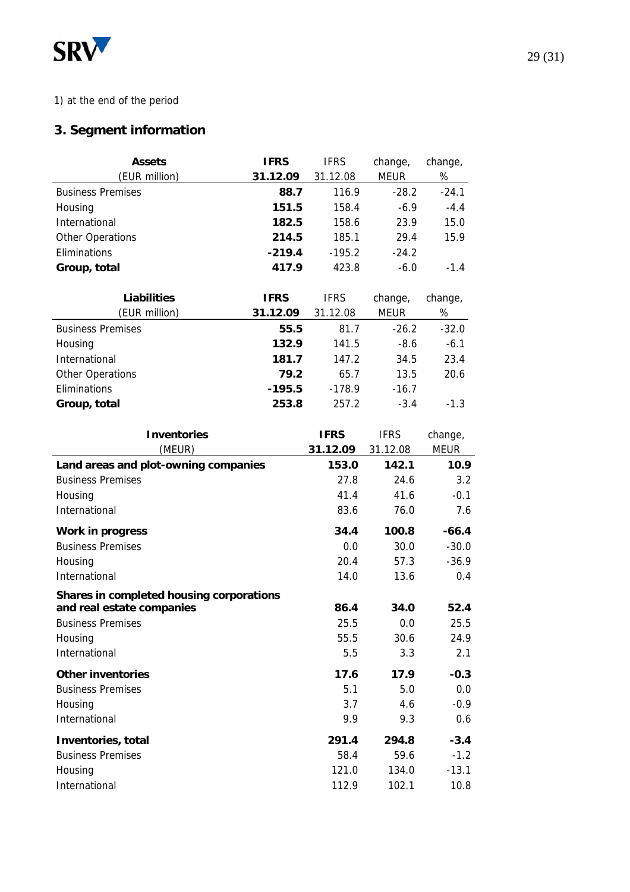

# 1) at the end of the period

# **3. Segment information**

| <b>Assets</b>            | <b>IFRS</b> | <b>IFRS</b> | change,     | change, |
|--------------------------|-------------|-------------|-------------|---------|
| (EUR million)            | 31.12.09    | 31.12.08    | <b>MEUR</b> | %       |
| <b>Business Premises</b> | 88.7        | 116.9       | $-28.2$     | $-24.1$ |
| Housing                  | 151.5       | 158.4       | $-6.9$      | $-4.4$  |
| International            | 182.5       | 158.6       | 23.9        | 15.0    |
| <b>Other Operations</b>  | 214.5       | 185.1       | 29.4        | 15.9    |
| Eliminations             | $-219.4$    | $-195.2$    | $-24.2$     |         |
| Group, total             | 417.9       | 423.8       | $-6.0$      | $-1.4$  |

| <b>Liabilities</b>       | <b>IFRS</b> | <b>IFRS</b> | change,     | change, |
|--------------------------|-------------|-------------|-------------|---------|
| (EUR million)            | 31.12.09    | 31.12.08    | <b>MEUR</b> | %       |
| <b>Business Premises</b> | 55.5        | 81.7        | $-26.2$     | $-32.0$ |
| Housing                  | 132.9       | 141.5       | $-8.6$      | $-6.1$  |
| International            | 181.7       | 147.2       | 34.5        | 23.4    |
| <b>Other Operations</b>  | 79.2        | 65.7        | 13.5        | 20.6    |
| Eliminations             | $-195.5$    | $-178.9$    | $-16.7$     |         |
| Group, total             | 253.8       | 257.2       | $-3.4$      | $-1.3$  |

| <b>Inventories</b>                       | <b>IFRS</b> | <b>IFRS</b> | change,     |
|------------------------------------------|-------------|-------------|-------------|
| (MEUR)                                   | 31.12.09    | 31.12.08    | <b>MEUR</b> |
| Land areas and plot-owning companies     | 153.0       | 142.1       | 10.9        |
| <b>Business Premises</b>                 | 27.8        | 24.6        | 3.2         |
| Housing                                  | 41.4        | 41.6        | $-0.1$      |
| International                            | 83.6        | 76.0        | 7.6         |
| <b>Work in progress</b>                  | 34.4        | 100.8       | $-66.4$     |
| <b>Business Premises</b>                 | 0.0         | 30.0        | $-30.0$     |
| Housing                                  | 20.4        | 57.3        | $-36.9$     |
| International                            | 14.0        | 13.6        | 0.4         |
| Shares in completed housing corporations |             |             |             |
| and real estate companies                | 86.4        | 34.0        | 52.4        |
| <b>Business Premises</b>                 | 25.5        | 0.0         | 25.5        |
| Housing                                  | 55.5        | 30.6        | 24.9        |
| International                            | 5.5         | 3.3         | 2.1         |
| <b>Other inventories</b>                 | 17.6        | 17.9        | $-0.3$      |
| <b>Business Premises</b>                 | 5.1         | 5.0         | 0.0         |
| Housing                                  | 3.7         | 4.6         | $-0.9$      |
| International                            | 9.9         | 9.3         | 0.6         |
| Inventories, total                       | 291.4       | 294.8       | $-3.4$      |
| <b>Business Premises</b>                 | 58.4        | 59.6        | $-1.2$      |
| Housing                                  | 121.0       | 134.0       | $-13.1$     |
| International                            | 112.9       | 102.1       | 10.8        |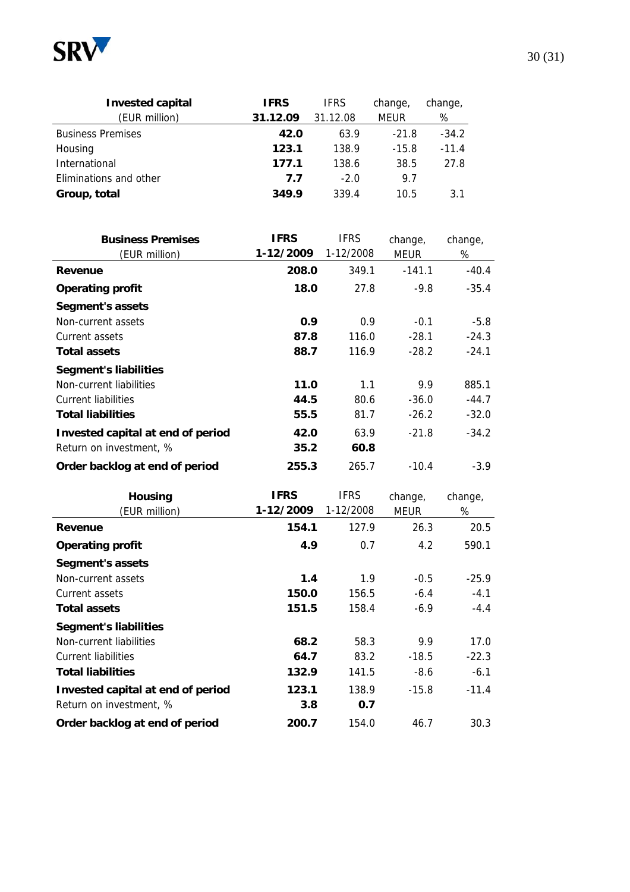

| <b>Invested capital</b>  | <b>IFRS</b> | <b>IFRS</b> | change,     | change, |
|--------------------------|-------------|-------------|-------------|---------|
| (EUR million)            | 31.12.09    | 31.12.08    | <b>MEUR</b> | %       |
| <b>Business Premises</b> | 42.0        | 63.9        | $-21.8$     | $-34.2$ |
| Housing                  | 123.1       | 138.9       | $-15.8$     | $-11.4$ |
| International            | 177.1       | 138.6       | 38.5        | 27.8    |
| Eliminations and other   | 7.7         | $-2.0$      | 9.7         |         |
| Group, total             | 349.9       | 339.4       | 10.5        | 3.1     |

| <b>Business Premises</b>          | <b>IFRS</b> | <b>IFRS</b> | change,  | change, |
|-----------------------------------|-------------|-------------|----------|---------|
| (EUR million)                     | 1-12/2009   | 1-12/2008   | MEUR     | %       |
| Revenue                           | 208.0       | 349.1       | $-141.1$ | $-40.4$ |
| <b>Operating profit</b>           | 18.0        | 27.8        | $-9.8$   | $-35.4$ |
| <b>Segment's assets</b>           |             |             |          |         |
| Non-current assets                | 0.9         | 0.9         | $-0.1$   | $-5.8$  |
| Current assets                    | 87.8        | 116.0       | $-28.1$  | $-24.3$ |
| <b>Total assets</b>               | 88.7        | 116.9       | $-28.2$  | $-24.1$ |
| <b>Segment's liabilities</b>      |             |             |          |         |
| Non-current liabilities           | 11.0        | 1.1         | 9.9      | 885.1   |
| <b>Current liabilities</b>        | 44.5        | 80.6        | $-36.0$  | $-44.7$ |
| <b>Total liabilities</b>          | 55.5        | 81.7        | $-26.2$  | $-32.0$ |
| Invested capital at end of period | 42.0        | 63.9        | $-21.8$  | $-34.2$ |
| Return on investment, %           | 35.2        | 60.8        |          |         |
| Order backlog at end of period    | 255.3       | 265.7       | $-10.4$  | $-3.9$  |

| <b>Housing</b>                    | <b>IFRS</b> | <b>IFRS</b> | change, | change, |
|-----------------------------------|-------------|-------------|---------|---------|
| (EUR million)                     | 1-12/2009   | 1-12/2008   | MEUR    | %       |
| Revenue                           | 154.1       | 127.9       | 26.3    | 20.5    |
| <b>Operating profit</b>           | 4.9         | 0.7         | 4.2     | 590.1   |
| Segment's assets                  |             |             |         |         |
| Non-current assets                | 1.4         | 1.9         | $-0.5$  | $-25.9$ |
| Current assets                    | 150.0       | 156.5       | $-6.4$  | $-4.1$  |
| <b>Total assets</b>               | 151.5       | 158.4       | $-6.9$  | $-4.4$  |
| <b>Segment's liabilities</b>      |             |             |         |         |
| Non-current liabilities           | 68.2        | 58.3        | 9.9     | 17.0    |
| <b>Current liabilities</b>        | 64.7        | 83.2        | $-18.5$ | $-22.3$ |
| <b>Total liabilities</b>          | 132.9       | 141.5       | $-8.6$  | $-6.1$  |
| Invested capital at end of period | 123.1       | 138.9       | $-15.8$ | $-11.4$ |
| Return on investment, %           | 3.8         | 0.7         |         |         |
| Order backlog at end of period    | 200.7       | 154.0       | 46.7    | 30.3    |